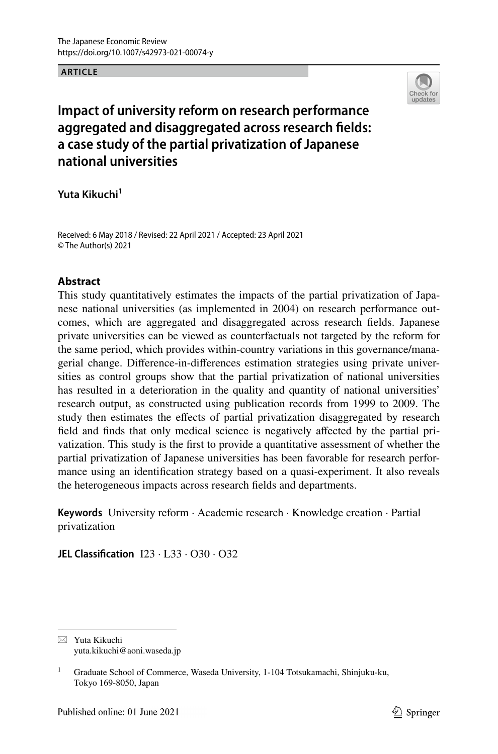#### **ARTICLE**



# **Impact of university reform on research performance aggregated and disaggregated across research felds: a case study of the partial privatization of Japanese national universities**

**Yuta Kikuchi1**

Received: 6 May 2018 / Revised: 22 April 2021 / Accepted: 23 April 2021 © The Author(s) 2021

# **Abstract**

This study quantitatively estimates the impacts of the partial privatization of Japanese national universities (as implemented in 2004) on research performance outcomes, which are aggregated and disaggregated across research felds. Japanese private universities can be viewed as counterfactuals not targeted by the reform for the same period, which provides within-country variations in this governance/managerial change. Diference-in-diferences estimation strategies using private universities as control groups show that the partial privatization of national universities has resulted in a deterioration in the quality and quantity of national universities' research output, as constructed using publication records from 1999 to 2009. The study then estimates the efects of partial privatization disaggregated by research feld and fnds that only medical science is negatively afected by the partial privatization. This study is the frst to provide a quantitative assessment of whether the partial privatization of Japanese universities has been favorable for research performance using an identifcation strategy based on a quasi-experiment. It also reveals the heterogeneous impacts across research felds and departments.

**Keywords** University reform · Academic research · Knowledge creation · Partial privatization

**JEL Classifcation** I23 · L33 · O30 · O32

 $\boxtimes$  Yuta Kikuchi yuta.kikuchi@aoni.waseda.jp

<sup>&</sup>lt;sup>1</sup> Graduate School of Commerce, Waseda University, 1-104 Totsukamachi, Shinjuku-ku, Tokyo 169-8050, Japan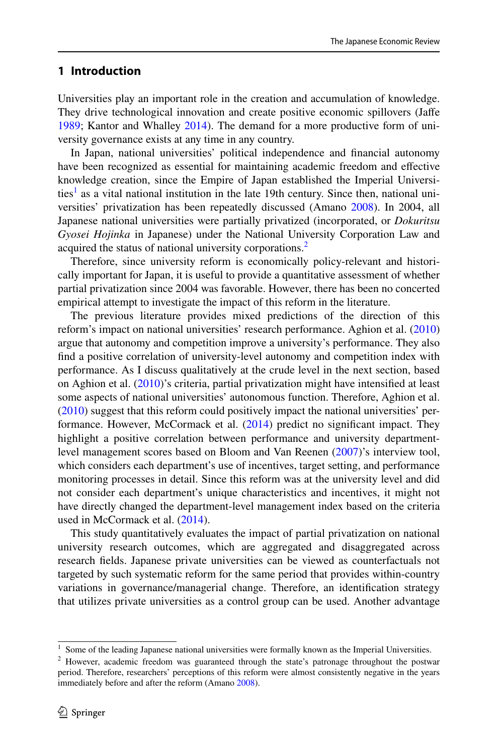# **1 Introduction**

Universities play an important role in the creation and accumulation of knowledge. They drive technological innovation and create positive economic spillovers (Jafe [1989](#page-26-0); Kantor and Whalley [2014\)](#page-26-1). The demand for a more productive form of university governance exists at any time in any country.

In Japan, national universities' political independence and fnancial autonomy have been recognized as essential for maintaining academic freedom and efective knowledge creation, since the Empire of Japan established the Imperial Universi-ties<sup>[1](#page-1-0)</sup> as a vital national institution in the late 19th century. Since then, national universities' privatization has been repeatedly discussed (Amano [2008\)](#page-26-2). In 2004, all Japanese national universities were partially privatized (incorporated, or *Dokuritsu Gyosei Hojinka* in Japanese) under the National University Corporation Law and acquired the status of national university corporations.<sup>[2](#page-1-1)</sup>

Therefore, since university reform is economically policy-relevant and historically important for Japan, it is useful to provide a quantitative assessment of whether partial privatization since 2004 was favorable. However, there has been no concerted empirical attempt to investigate the impact of this reform in the literature.

The previous literature provides mixed predictions of the direction of this reform's impact on national universities' research performance. Aghion et al. [\(2010](#page-26-3)) argue that autonomy and competition improve a university's performance. They also fnd a positive correlation of university-level autonomy and competition index with performance. As I discuss qualitatively at the crude level in the next section, based on Aghion et al. [\(2010](#page-26-3))'s criteria, partial privatization might have intensifed at least some aspects of national universities' autonomous function. Therefore, Aghion et al. [\(2010](#page-26-3)) suggest that this reform could positively impact the national universities' per-formance. However, McCormack et al. [\(2014](#page-26-4)) predict no significant impact. They highlight a positive correlation between performance and university departmentlevel management scores based on Bloom and Van Reenen [\(2007](#page-26-5))'s interview tool, which considers each department's use of incentives, target setting, and performance monitoring processes in detail. Since this reform was at the university level and did not consider each department's unique characteristics and incentives, it might not have directly changed the department-level management index based on the criteria used in McCormack et al. ([2014\)](#page-26-4).

This study quantitatively evaluates the impact of partial privatization on national university research outcomes, which are aggregated and disaggregated across research felds. Japanese private universities can be viewed as counterfactuals not targeted by such systematic reform for the same period that provides within-country variations in governance/managerial change. Therefore, an identifcation strategy that utilizes private universities as a control group can be used. Another advantage

<span id="page-1-0"></span><sup>1</sup> Some of the leading Japanese national universities were formally known as the Imperial Universities.

<span id="page-1-1"></span><sup>&</sup>lt;sup>2</sup> However, academic freedom was guaranteed through the state's patronage throughout the postwar period. Therefore, researchers' perceptions of this reform were almost consistently negative in the years immediately before and after the reform (Amano [2008](#page-26-2)).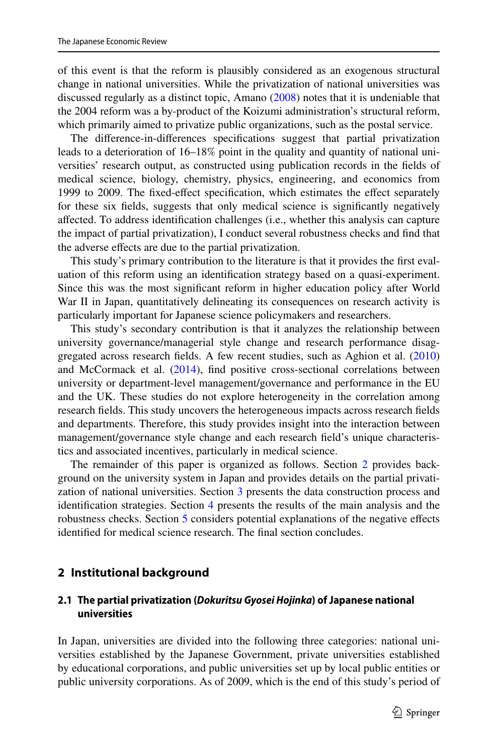of this event is that the reform is plausibly considered as an exogenous structural change in national universities. While the privatization of national universities was discussed regularly as a distinct topic, Amano [\(2008](#page-26-2)) notes that it is undeniable that the 2004 reform was a by-product of the Koizumi administration's structural reform, which primarily aimed to privatize public organizations, such as the postal service.

The diference-in-diferences specifcations suggest that partial privatization leads to a deterioration of 16–18% point in the quality and quantity of national universities' research output, as constructed using publication records in the felds of medical science, biology, chemistry, physics, engineering, and economics from 1999 to 2009. The fxed-efect specifcation, which estimates the efect separately for these six felds, suggests that only medical science is signifcantly negatively afected. To address identifcation challenges (i.e., whether this analysis can capture the impact of partial privatization), I conduct several robustness checks and fnd that the adverse efects are due to the partial privatization.

This study's primary contribution to the literature is that it provides the frst evaluation of this reform using an identifcation strategy based on a quasi-experiment. Since this was the most signifcant reform in higher education policy after World War II in Japan, quantitatively delineating its consequences on research activity is particularly important for Japanese science policymakers and researchers.

This study's secondary contribution is that it analyzes the relationship between university governance/managerial style change and research performance disaggregated across research felds. A few recent studies, such as Aghion et al. ([2010\)](#page-26-3) and McCormack et al.  $(2014)$  $(2014)$ , find positive cross-sectional correlations between university or department-level management/governance and performance in the EU and the UK. These studies do not explore heterogeneity in the correlation among research felds. This study uncovers the heterogeneous impacts across research felds and departments. Therefore, this study provides insight into the interaction between management/governance style change and each research feld's unique characteristics and associated incentives, particularly in medical science.

The remainder of this paper is organized as follows. Section [2](#page-2-0) provides background on the university system in Japan and provides details on the partial privatization of national universities. Section [3](#page-5-0) presents the data construction process and identifcation strategies. Section [4](#page-8-0) presents the results of the main analysis and the robustness checks. Section [5](#page-13-0) considers potential explanations of the negative efects identifed for medical science research. The fnal section concludes.

# <span id="page-2-0"></span>**2 Institutional background**

# **2.1 The partial privatization (***Dokuritsu Gyosei Hojinka***) of Japanese national universities**

In Japan, universities are divided into the following three categories: national universities established by the Japanese Government, private universities established by educational corporations, and public universities set up by local public entities or public university corporations. As of 2009, which is the end of this study's period of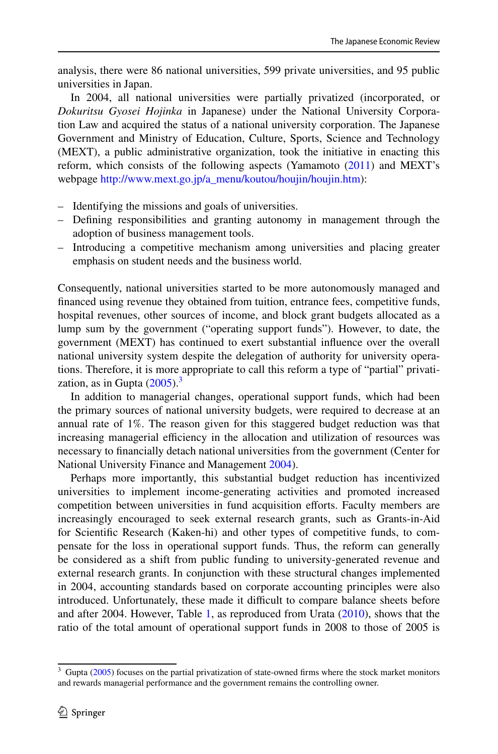analysis, there were 86 national universities, 599 private universities, and 95 public universities in Japan.

In 2004, all national universities were partially privatized (incorporated, or *Dokuritsu Gyosei Hojinka* in Japanese) under the National University Corporation Law and acquired the status of a national university corporation. The Japanese Government and Ministry of Education, Culture, Sports, Science and Technology (MEXT), a public administrative organization, took the initiative in enacting this reform, which consists of the following aspects (Yamamoto [\(2011](#page-26-6)) and MEXT's webpage [http://www.mext.go.jp/a\\_menu/koutou/houjin/houjin.htm](http://www.mext.go.jp/a_menu/koutou/houjin/houjin.htm)):

- Identifying the missions and goals of universities.
- Defning responsibilities and granting autonomy in management through the adoption of business management tools.
- Introducing a competitive mechanism among universities and placing greater emphasis on student needs and the business world.

Consequently, national universities started to be more autonomously managed and fnanced using revenue they obtained from tuition, entrance fees, competitive funds, hospital revenues, other sources of income, and block grant budgets allocated as a lump sum by the government ("operating support funds"). However, to date, the government (MEXT) has continued to exert substantial infuence over the overall national university system despite the delegation of authority for university operations. Therefore, it is more appropriate to call this reform a type of "partial" privatization, as in Gupta  $(2005)$  $(2005)$ .<sup>[3](#page-3-0)</sup>

In addition to managerial changes, operational support funds, which had been the primary sources of national university budgets, were required to decrease at an annual rate of 1%. The reason given for this staggered budget reduction was that increasing managerial efficiency in the allocation and utilization of resources was necessary to fnancially detach national universities from the government (Center for National University Finance and Management [2004\)](#page-26-8).

Perhaps more importantly, this substantial budget reduction has incentivized universities to implement income-generating activities and promoted increased competition between universities in fund acquisition efforts. Faculty members are increasingly encouraged to seek external research grants, such as Grants-in-Aid for Scientifc Research (Kaken-hi) and other types of competitive funds, to compensate for the loss in operational support funds. Thus, the reform can generally be considered as a shift from public funding to university-generated revenue and external research grants. In conjunction with these structural changes implemented in 2004, accounting standards based on corporate accounting principles were also introduced. Unfortunately, these made it difficult to compare balance sheets before and after 2004. However, Table [1](#page-14-0), as reproduced from Urata ([2010\)](#page-26-9), shows that the ratio of the total amount of operational support funds in 2008 to those of 2005 is

<span id="page-3-0"></span> $3$  Gupta ( $2005$ ) focuses on the partial privatization of state-owned firms where the stock market monitors and rewards managerial performance and the government remains the controlling owner.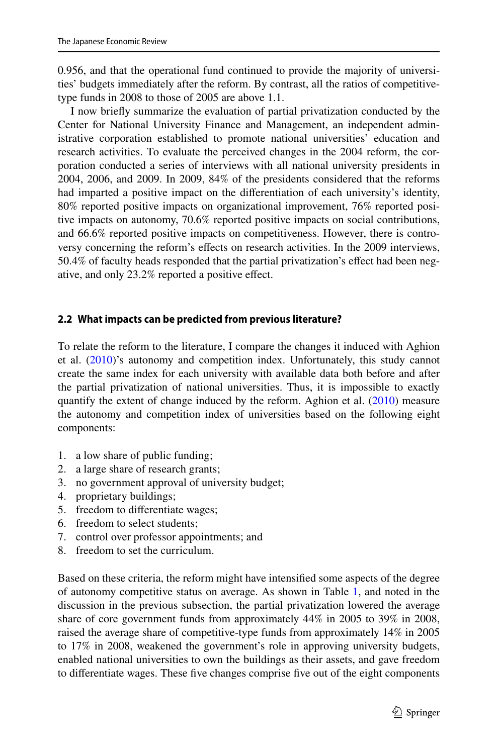0.956, and that the operational fund continued to provide the majority of universities' budgets immediately after the reform. By contrast, all the ratios of competitivetype funds in 2008 to those of 2005 are above 1.1.

I now briefy summarize the evaluation of partial privatization conducted by the Center for National University Finance and Management, an independent administrative corporation established to promote national universities' education and research activities. To evaluate the perceived changes in the 2004 reform, the corporation conducted a series of interviews with all national university presidents in 2004, 2006, and 2009. In 2009, 84% of the presidents considered that the reforms had imparted a positive impact on the diferentiation of each university's identity, 80% reported positive impacts on organizational improvement, 76% reported positive impacts on autonomy, 70.6% reported positive impacts on social contributions, and 66.6% reported positive impacts on competitiveness. However, there is controversy concerning the reform's efects on research activities. In the 2009 interviews, 50.4% of faculty heads responded that the partial privatization's efect had been negative, and only 23.2% reported a positive efect.

#### **2.2 What impacts can be predicted from previous literature?**

To relate the reform to the literature, I compare the changes it induced with Aghion et al. [\(2010](#page-26-3))'s autonomy and competition index. Unfortunately, this study cannot create the same index for each university with available data both before and after the partial privatization of national universities. Thus, it is impossible to exactly quantify the extent of change induced by the reform. Aghion et al. ([2010\)](#page-26-3) measure the autonomy and competition index of universities based on the following eight components:

- 1. a low share of public funding;
- 2. a large share of research grants;
- 3. no government approval of university budget;
- 4. proprietary buildings;
- 5. freedom to diferentiate wages;
- 6. freedom to select students;
- 7. control over professor appointments; and
- 8. freedom to set the curriculum.

Based on these criteria, the reform might have intensifed some aspects of the degree of autonomy competitive status on average. As shown in Table [1](#page-14-0), and noted in the discussion in the previous subsection, the partial privatization lowered the average share of core government funds from approximately 44% in 2005 to 39% in 2008, raised the average share of competitive-type funds from approximately 14% in 2005 to 17% in 2008, weakened the government's role in approving university budgets, enabled national universities to own the buildings as their assets, and gave freedom to diferentiate wages. These fve changes comprise fve out of the eight components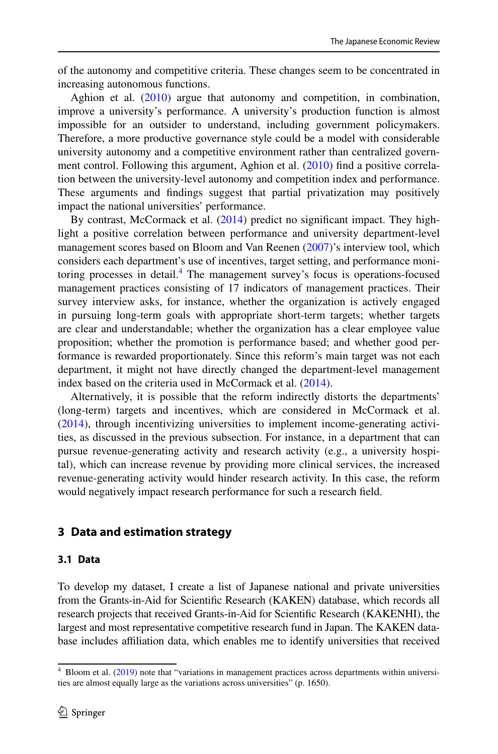of the autonomy and competitive criteria. These changes seem to be concentrated in increasing autonomous functions.

Aghion et al. ([2010\)](#page-26-3) argue that autonomy and competition, in combination, improve a university's performance. A university's production function is almost impossible for an outsider to understand, including government policymakers. Therefore, a more productive governance style could be a model with considerable university autonomy and a competitive environment rather than centralized govern-ment control. Following this argument, Aghion et al. ([2010\)](#page-26-3) find a positive correlation between the university-level autonomy and competition index and performance. These arguments and fndings suggest that partial privatization may positively impact the national universities' performance.

By contrast, McCormack et al. ([2014\)](#page-26-4) predict no signifcant impact. They highlight a positive correlation between performance and university department-level management scores based on Bloom and Van Reenen ([2007\)](#page-26-5)'s interview tool, which considers each department's use of incentives, target setting, and performance moni-toring processes in detail.<sup>[4](#page-5-1)</sup> The management survey's focus is operations-focused management practices consisting of 17 indicators of management practices. Their survey interview asks, for instance, whether the organization is actively engaged in pursuing long-term goals with appropriate short-term targets; whether targets are clear and understandable; whether the organization has a clear employee value proposition; whether the promotion is performance based; and whether good performance is rewarded proportionately. Since this reform's main target was not each department, it might not have directly changed the department-level management index based on the criteria used in McCormack et al. [\(2014](#page-26-4)).

Alternatively, it is possible that the reform indirectly distorts the departments' (long-term) targets and incentives, which are considered in McCormack et al. [\(2014](#page-26-4)), through incentivizing universities to implement income-generating activities, as discussed in the previous subsection. For instance, in a department that can pursue revenue-generating activity and research activity (e.g., a university hospital), which can increase revenue by providing more clinical services, the increased revenue-generating activity would hinder research activity. In this case, the reform would negatively impact research performance for such a research feld.

# <span id="page-5-0"></span>**3 Data and estimation strategy**

## <span id="page-5-2"></span>**3.1 Data**

To develop my dataset, I create a list of Japanese national and private universities from the Grants-in-Aid for Scientifc Research (KAKEN) database, which records all research projects that received Grants-in-Aid for Scientifc Research (KAKENHI), the largest and most representative competitive research fund in Japan. The KAKEN database includes afliation data, which enables me to identify universities that received

<span id="page-5-1"></span><sup>4</sup> Bloom et al. ([2019\)](#page-26-10) note that "variations in management practices across departments within universities are almost equally large as the variations across universities" (p. 1650).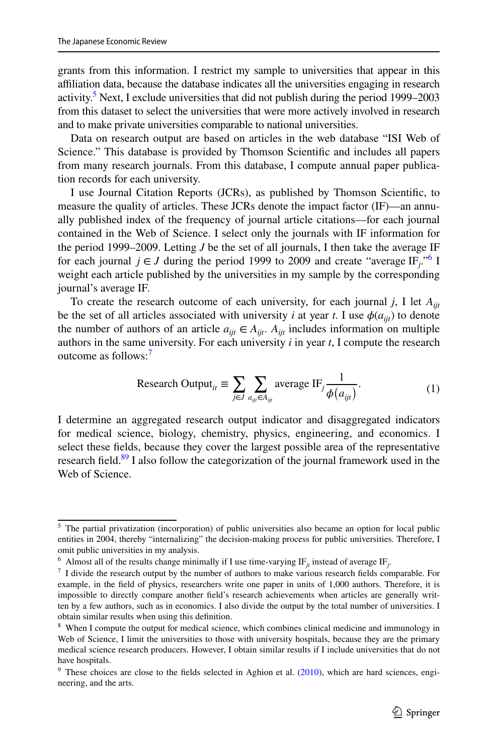grants from this information. I restrict my sample to universities that appear in this afliation data, because the database indicates all the universities engaging in research activity.<sup>5</sup> Next, I exclude universities that did not publish during the period 1999–2003 from this dataset to select the universities that were more actively involved in research and to make private universities comparable to national universities.

Data on research output are based on articles in the web database "ISI Web of Science." This database is provided by Thomson Scientifc and includes all papers from many research journals. From this database, I compute annual paper publication records for each university.

I use Journal Citation Reports (JCRs), as published by Thomson Scientifc, to measure the quality of articles. These JCRs denote the impact factor (IF)—an annually published index of the frequency of journal article citations—for each journal contained in the Web of Science. I select only the journals with IF information for the period 1999–2009. Letting *J* be the set of all journals, I then take the average IF for each journal  $j \in J$  during the period 1999 to 2009 and create "average IF<sub>j</sub>."<sup>[6](#page-6-1)</sup> I weight each article published by the universities in my sample by the corresponding journal's average IF.

To create the research outcome of each university, for each journal *j*, I let *Aijt* be the set of all articles associated with university *i* at year *t*. I use  $\phi(a_{ii})$  to denote the number of authors of an article  $a_{ii} \in A_{ii}$ .  $A_{ii}$  includes information on multiple authors in the same university. For each university *i* in year *t*, I compute the research outcome as follows:<sup>[7](#page-6-2)</sup>

<span id="page-6-5"></span>Research Output<sub>it</sub> 
$$
\equiv \sum_{j \in J} \sum_{a_{ij} \in A_{ijt}} \text{average IF}_j \frac{1}{\phi(a_{ijt})}
$$
. (1)

I determine an aggregated research output indicator and disaggregated indicators for medical science, biology, chemistry, physics, engineering, and economics. I select these felds, because they cover the largest possible area of the representative research field.<sup>[8](#page-6-3)[9](#page-6-4)</sup> I also follow the categorization of the journal framework used in the Web of Science.

<span id="page-6-0"></span><sup>&</sup>lt;sup>5</sup> The partial privatization (incorporation) of public universities also became an option for local public entities in 2004, thereby "internalizing" the decision-making process for public universities. Therefore, I omit public universities in my analysis.

<span id="page-6-1"></span><sup>&</sup>lt;sup>6</sup> Almost all of the results change minimally if I use time-varying IF<sub>jt</sub> instead of average IF<sub>j</sub>.

<span id="page-6-2"></span> $<sup>7</sup>$  I divide the research output by the number of authors to make various research fields comparable. For</sup> example, in the feld of physics, researchers write one paper in units of 1,000 authors. Therefore, it is impossible to directly compare another feld's research achievements when articles are generally written by a few authors, such as in economics. I also divide the output by the total number of universities. I obtain similar results when using this defnition.

<span id="page-6-3"></span><sup>&</sup>lt;sup>8</sup> When I compute the output for medical science, which combines clinical medicine and immunology in Web of Science, I limit the universities to those with university hospitals, because they are the primary medical science research producers. However, I obtain similar results if I include universities that do not have hospitals.

<span id="page-6-4"></span> $9$  These choices are close to the fields selected in Aghion et al. [\(2010](#page-26-3)), which are hard sciences, engineering, and the arts.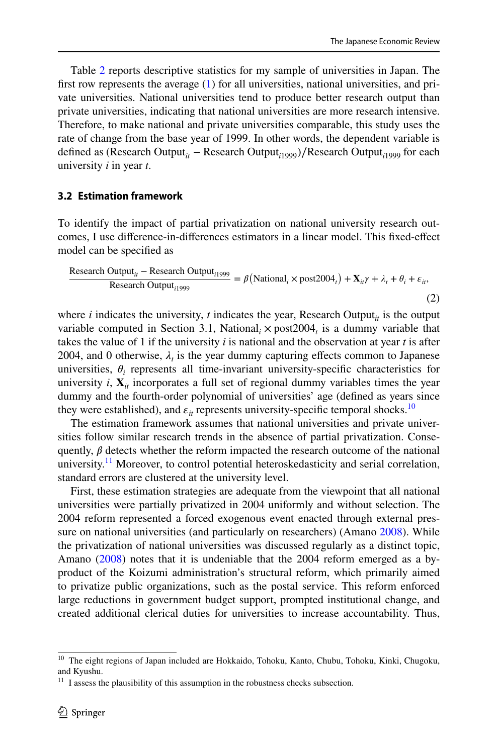Table [2](#page-15-0) reports descriptive statistics for my sample of universities in Japan. The frst row represents the average ([1\)](#page-6-5) for all universities, national universities, and private universities. National universities tend to produce better research output than private universities, indicating that national universities are more research intensive. Therefore, to make national and private universities comparable, this study uses the rate of change from the base year of 1999. In other words, the dependent variable is defined as (Research Output<sub>*it*</sub> − Research Output<sub>*i*1999</sub>)/Research Output<sub>*i*1999</sub> for each university *i* in year *t*.

#### **3.2 Estimation framework**

To identify the impact of partial privatization on national university research outcomes, I use diference-in-diferences estimators in a linear model. This fxed-efect model can be specifed as

<span id="page-7-2"></span>Research Output<sub>ii</sub> – Research Output<sub>i1999</sub> = 
$$
\beta
$$
 (National<sub>i</sub> × post2004<sub>i</sub>) +  $\mathbf{X}_{ii}\gamma + \lambda_i + \theta_i + \varepsilon_i$ ,  
Research Output<sub>i1999</sub> (2)

where  $i$  indicates the university,  $t$  indicates the year, Research Output<sub> $it$ </sub> is the output variable computed in Section 3.1, National<sub>*i*</sub>  $\times$  post 2004<sub>*t*</sub> is a dummy variable that takes the value of 1 if the university *i* is national and the observation at year *t* is after 2004, and 0 otherwise,  $\lambda_t$  is the year dummy capturing effects common to Japanese universities,  $\theta_i$  represents all time-invariant university-specific characteristics for university  $i$ ,  $\mathbf{X}_{i}$  incorporates a full set of regional dummy variables times the year dummy and the fourth-order polynomial of universities' age (defned as years since they were established), and  $\varepsilon_{i}$  represents university-specific temporal shocks.<sup>[10](#page-7-0)</sup>

The estimation framework assumes that national universities and private universities follow similar research trends in the absence of partial privatization. Consequently,  $\beta$  detects whether the reform impacted the research outcome of the national university.<sup>11</sup> Moreover, to control potential heteroskedasticity and serial correlation, standard errors are clustered at the university level.

First, these estimation strategies are adequate from the viewpoint that all national universities were partially privatized in 2004 uniformly and without selection. The 2004 reform represented a forced exogenous event enacted through external pres-sure on national universities (and particularly on researchers) (Amano [2008](#page-26-2)). While the privatization of national universities was discussed regularly as a distinct topic, Amano ([2008\)](#page-26-2) notes that it is undeniable that the 2004 reform emerged as a byproduct of the Koizumi administration's structural reform, which primarily aimed to privatize public organizations, such as the postal service. This reform enforced large reductions in government budget support, prompted institutional change, and created additional clerical duties for universities to increase accountability. Thus,

<span id="page-7-0"></span><sup>&</sup>lt;sup>10</sup> The eight regions of Japan included are Hokkaido, Tohoku, Kanto, Chubu, Tohoku, Kinki, Chugoku, and Kyushu.

<span id="page-7-1"></span> $11$  I assess the plausibility of this assumption in the robustness checks subsection.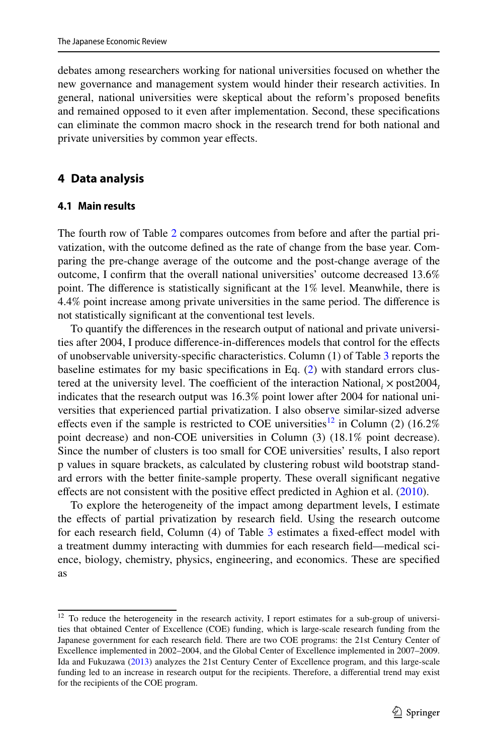debates among researchers working for national universities focused on whether the new governance and management system would hinder their research activities. In general, national universities were skeptical about the reform's proposed benefts and remained opposed to it even after implementation. Second, these specifcations can eliminate the common macro shock in the research trend for both national and private universities by common year efects.

# <span id="page-8-0"></span>**4 Data analysis**

#### **4.1 Main results**

The fourth row of Table [2](#page-15-0) compares outcomes from before and after the partial privatization, with the outcome defned as the rate of change from the base year. Comparing the pre-change average of the outcome and the post-change average of the outcome, I confrm that the overall national universities' outcome decreased 13.6% point. The diference is statistically signifcant at the 1% level. Meanwhile, there is 4.4% point increase among private universities in the same period. The diference is not statistically signifcant at the conventional test levels.

To quantify the diferences in the research output of national and private universities after 2004, I produce diference-in-diferences models that control for the efects of unobservable university-specifc characteristics. Column (1) of Table [3](#page-16-0) reports the baseline estimates for my basic specifcations in Eq. ([2\)](#page-7-2) with standard errors clustered at the university level. The coefficient of the interaction National<sub>i</sub>  $\times$  post2004<sub>*t*</sub> indicates that the research output was 16.3% point lower after 2004 for national universities that experienced partial privatization. I also observe similar-sized adverse effects even if the sample is restricted to COE universities<sup>12</sup> in Column (2) (16.2%) point decrease) and non-COE universities in Column (3) (18.1% point decrease). Since the number of clusters is too small for COE universities' results, I also report p values in square brackets, as calculated by clustering robust wild bootstrap standard errors with the better fnite-sample property. These overall signifcant negative efects are not consistent with the positive efect predicted in Aghion et al. [\(2010](#page-26-3)).

To explore the heterogeneity of the impact among department levels, I estimate the efects of partial privatization by research feld. Using the research outcome for each research feld, Column (4) of Table [3](#page-16-0) estimates a fxed-efect model with a treatment dummy interacting with dummies for each research feld—medical science, biology, chemistry, physics, engineering, and economics. These are specifed as

<span id="page-8-1"></span><sup>&</sup>lt;sup>12</sup> To reduce the heterogeneity in the research activity, I report estimates for a sub-group of universities that obtained Center of Excellence (COE) funding, which is large-scale research funding from the Japanese government for each research feld. There are two COE programs: the 21st Century Center of Excellence implemented in 2002–2004, and the Global Center of Excellence implemented in 2007–2009. Ida and Fukuzawa ([2013\)](#page-26-11) analyzes the 21st Century Center of Excellence program, and this large-scale funding led to an increase in research output for the recipients. Therefore, a diferential trend may exist for the recipients of the COE program.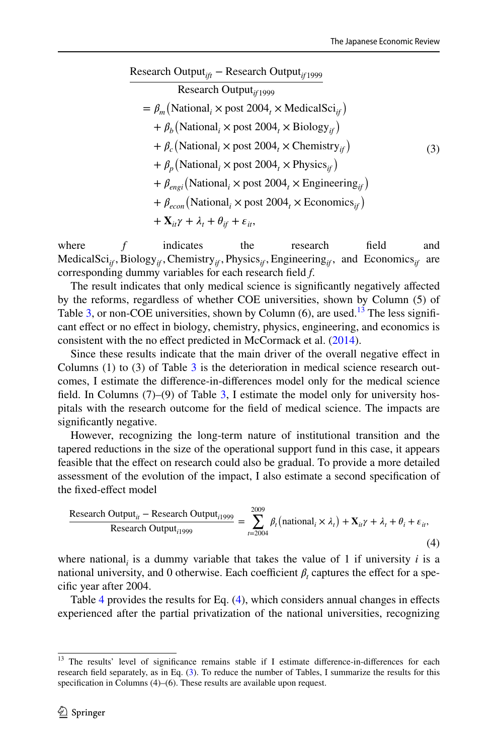#### Research Output*ift* − Research Output*if* <sup>1999</sup>

<span id="page-9-2"></span>(3) Research Output*if* <sup>1999</sup>  $= \beta_m$ (National<sub>*i*</sub> × post 2004<sub>*t*</sub></sub> × MedicalSci<sub>*if*</sub>)  $+ \beta_b (\text{National}_i \times \text{post } 2004_t \times \text{Biology}_{if})$  $+ \beta_c \left( \text{National}_i \times \text{post } 2004_t \times \text{Chemistry}_{if} \right)$  $+ \beta_p (\text{National}_i \times \text{post } 2004_t \times \text{Physics}_{if})$  $+ \beta_{\text{eng}i}$ (National<sub>i</sub> × post 2004<sub>t</sub> × Engineering<sub>if</sub>)  $+ \beta_{econ}$  (National<sub>*i*</sub>  $\times$  post 2004<sub>*t*</sub>  $\times$  Economics<sub>*if*</sub>)</sub>  $+$ **X**<sub>it</sub></sub> $\gamma$  +  $\lambda$ <sub>t</sub> +  $\theta$ <sub>if</sub> +  $\varepsilon$ <sub>it</sub>,

where  $f$  indicates the research field and MedicalSci<sub>if</sub>, Biology<sub>if</sub>, Chemistry<sub>if</sub>, Physics<sub>if</sub>, Engineering<sub>if</sub>, and Economics<sub>if</sub> are corresponding dummy variables for each research feld *f*.

The result indicates that only medical science is signifcantly negatively afected by the reforms, regardless of whether COE universities, shown by Column (5) of Table [3,](#page-16-0) or non-COE universities, shown by Column  $(6)$ , are used.<sup>[13](#page-9-0)</sup> The less significant efect or no efect in biology, chemistry, physics, engineering, and economics is consistent with the no effect predicted in McCormack et al. [\(2014](#page-26-4)).

Since these results indicate that the main driver of the overall negative efect in Columns  $(1)$  to  $(3)$  of Table [3](#page-16-0) is the deterioration in medical science research outcomes, I estimate the diference-in-diferences model only for the medical science field. In Columns  $(7)$ – $(9)$  of Table [3,](#page-16-0) I estimate the model only for university hospitals with the research outcome for the feld of medical science. The impacts are signifcantly negative.

However, recognizing the long-term nature of institutional transition and the tapered reductions in the size of the operational support fund in this case, it appears feasible that the efect on research could also be gradual. To provide a more detailed assessment of the evolution of the impact, I also estimate a second specifcation of the fxed-efect model

<span id="page-9-1"></span>Research Output<sub>ii</sub> – Research Output<sub>i1999</sub> = 
$$
\sum_{t=2004}^{2009} \beta_t \left( \text{national}_i \times \lambda_t \right) + \mathbf{X}_{ii} \gamma + \lambda_t + \theta_i + \varepsilon_{ii},
$$
\n(4)

where national<sub>*i*</sub> is a dummy variable that takes the value of 1 if university *i* is a national university, and 0 otherwise. Each coefficient  $\beta_t$  captures the effect for a specifc year after 2004.

Table [4](#page-17-0) provides the results for Eq. [\(4](#page-9-1)), which considers annual changes in efects experienced after the partial privatization of the national universities, recognizing

<span id="page-9-0"></span><sup>&</sup>lt;sup>13</sup> The results' level of significance remains stable if I estimate difference-in-differences for each research feld separately, as in Eq. ([3\)](#page-9-2). To reduce the number of Tables, I summarize the results for this specification in Columns (4)–(6). These results are available upon request.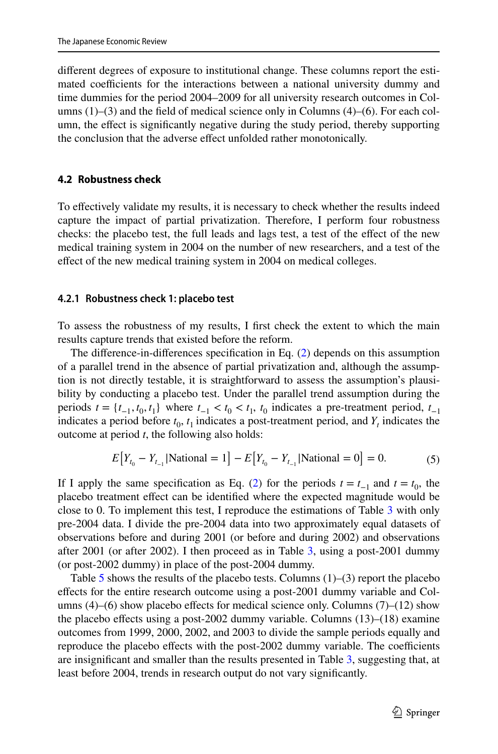diferent degrees of exposure to institutional change. These columns report the estimated coefficients for the interactions between a national university dummy and time dummies for the period 2004–2009 for all university research outcomes in Columns (1)–(3) and the feld of medical science only in Columns (4)–(6). For each column, the efect is signifcantly negative during the study period, thereby supporting the conclusion that the adverse efect unfolded rather monotonically.

#### **4.2 Robustness check**

To efectively validate my results, it is necessary to check whether the results indeed capture the impact of partial privatization. Therefore, I perform four robustness checks: the placebo test, the full leads and lags test, a test of the efect of the new medical training system in 2004 on the number of new researchers, and a test of the effect of the new medical training system in 2004 on medical colleges.

#### **4.2.1 Robustness check 1: placebo test**

To assess the robustness of my results, I frst check the extent to which the main results capture trends that existed before the reform.

The diference-in-diferences specifcation in Eq. ([2\)](#page-7-2) depends on this assumption of a parallel trend in the absence of partial privatization and, although the assumption is not directly testable, it is straightforward to assess the assumption's plausibility by conducting a placebo test. Under the parallel trend assumption during the periods  $t = \{t_{-1}, t_0, t_1\}$  where  $t_{-1} < t_0 < t_1$ ,  $t_0$  indicates a pre-treatment period,  $t_{-1}$ indicates a period before  $t_0$ ,  $t_1$  indicates a post-treatment period, and  $Y_t$  indicates the outcome at period *t*, the following also holds:

$$
E[Y_{t_0} - Y_{t_{-1}} | \text{National} = 1] - E[Y_{t_0} - Y_{t_{-1}} | \text{National} = 0] = 0. \tag{5}
$$

If I apply the same specification as Eq. [\(2](#page-7-2)) for the periods  $t = t_{-1}$  and  $t = t_0$ , the placebo treatment efect can be identifed where the expected magnitude would be close to 0. To implement this test, I reproduce the estimations of Table [3](#page-16-0) with only pre-2004 data. I divide the pre-2004 data into two approximately equal datasets of observations before and during 2001 (or before and during 2002) and observations after 2001 (or after 2002). I then proceed as in Table [3,](#page-16-0) using a post-2001 dummy (or post-2002 dummy) in place of the post-2004 dummy.

Table [5](#page-18-0) shows the results of the placebo tests. Columns  $(1)$ – $(3)$  report the placebo efects for the entire research outcome using a post-2001 dummy variable and Columns  $(4)$ – $(6)$  show placebo effects for medical science only. Columns  $(7)$ – $(12)$  show the placebo efects using a post-2002 dummy variable. Columns (13)–(18) examine outcomes from 1999, 2000, 2002, and 2003 to divide the sample periods equally and reproduce the placebo effects with the post-2002 dummy variable. The coefficients are insignifcant and smaller than the results presented in Table [3,](#page-16-0) suggesting that, at least before 2004, trends in research output do not vary signifcantly.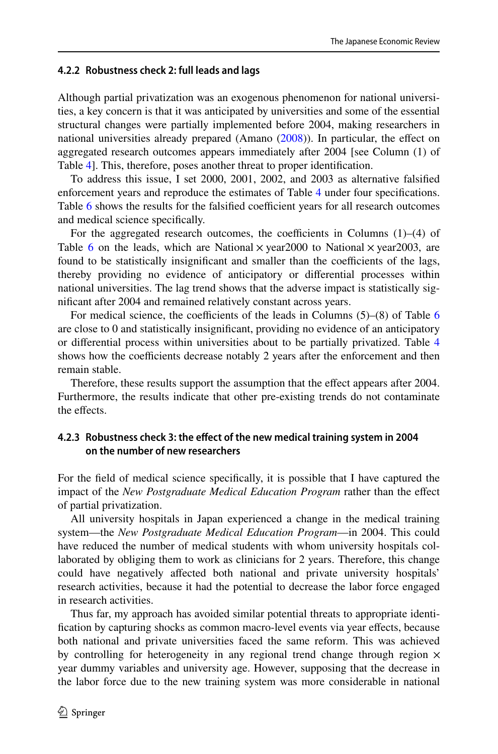### **4.2.2 Robustness check 2: full leads and lags**

Although partial privatization was an exogenous phenomenon for national universities, a key concern is that it was anticipated by universities and some of the essential structural changes were partially implemented before 2004, making researchers in national universities already prepared (Amano  $(2008)$  $(2008)$ ). In particular, the effect on aggregated research outcomes appears immediately after 2004 [see Column (1) of Table [4\]](#page-17-0). This, therefore, poses another threat to proper identifcation.

To address this issue, I set 2000, 2001, 2002, and 2003 as alternative falsifed enforcement years and reproduce the estimates of Table [4](#page-17-0) under four specifcations. Table  $6$  shows the results for the falsified coefficient years for all research outcomes and medical science specifcally.

For the aggregated research outcomes, the coefficients in Columns  $(1)$ – $(4)$  of Table [6](#page-19-0) on the leads, which are National  $\times$  year2000 to National  $\times$  year2003, are found to be statistically insignificant and smaller than the coefficients of the lags, thereby providing no evidence of anticipatory or diferential processes within national universities. The lag trend shows that the adverse impact is statistically signifcant after 2004 and remained relatively constant across years.

For medical science, the coefficients of the leads in Columns  $(5)-(8)$  of Table [6](#page-19-0) are close to 0 and statistically insignifcant, providing no evidence of an anticipatory or diferential process within universities about to be partially privatized. Table [4](#page-17-0) shows how the coefficients decrease notably 2 years after the enforcement and then remain stable.

Therefore, these results support the assumption that the efect appears after 2004. Furthermore, the results indicate that other pre-existing trends do not contaminate the effects.

# **4.2.3 Robustness check 3: the efect of the new medical training system in 2004 on the number of new researchers**

For the feld of medical science specifcally, it is possible that I have captured the impact of the *New Postgraduate Medical Education Program* rather than the efect of partial privatization.

All university hospitals in Japan experienced a change in the medical training system—the *New Postgraduate Medical Education Program*—in 2004. This could have reduced the number of medical students with whom university hospitals collaborated by obliging them to work as clinicians for 2 years. Therefore, this change could have negatively afected both national and private university hospitals' research activities, because it had the potential to decrease the labor force engaged in research activities.

Thus far, my approach has avoided similar potential threats to appropriate identifcation by capturing shocks as common macro-level events via year efects, because both national and private universities faced the same reform. This was achieved by controlling for heterogeneity in any regional trend change through region  $\times$ year dummy variables and university age. However, supposing that the decrease in the labor force due to the new training system was more considerable in national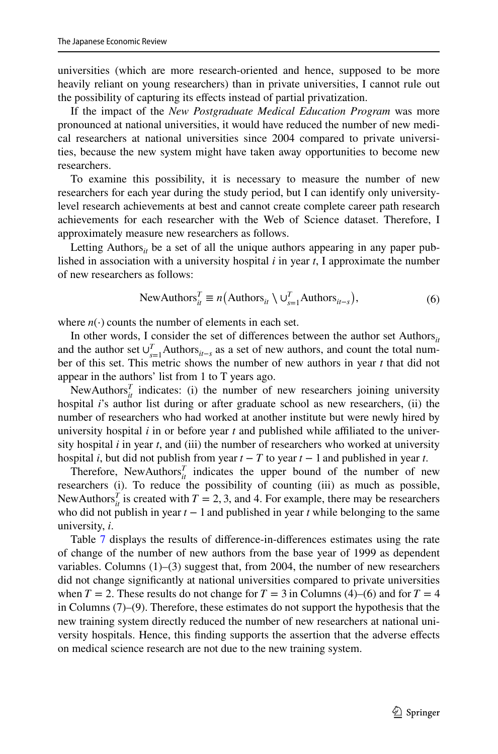universities (which are more research-oriented and hence, supposed to be more heavily reliant on young researchers) than in private universities, I cannot rule out the possibility of capturing its efects instead of partial privatization.

If the impact of the *New Postgraduate Medical Education Program* was more pronounced at national universities, it would have reduced the number of new medical researchers at national universities since 2004 compared to private universities, because the new system might have taken away opportunities to become new researchers.

To examine this possibility, it is necessary to measure the number of new researchers for each year during the study period, but I can identify only universitylevel research achievements at best and cannot create complete career path research achievements for each researcher with the Web of Science dataset. Therefore, I approximately measure new researchers as follows.

Letting Authors $_{it}$  be a set of all the unique authors appearing in any paper published in association with a university hospital *i* in year *t*, I approximate the number of new researchers as follows:

<span id="page-12-0"></span>NewAuthors<sub>it</sub><sup>T</sup> 
$$
\equiv n(\text{Authors}_{it} \setminus \bigcup_{s=1}^{T} \text{Authors}_{it-s}),
$$
 (6)

where  $n(\cdot)$  counts the number of elements in each set.

In other words, I consider the set of differences between the author set Authors $_{it}$ and the author set  $\bigcup_{s=1}^{T}$  Authors<sub>*it*−*s*</sub> as a set of new authors, and count the total number of this set. This metric shows the number of new authors in year *t* that did not appear in the authors' list from 1 to T years ago.

NewAuthors $^T_{it}$  indicates: (i) the number of new researchers joining university hospital *i*'s author list during or after graduate school as new researchers, (ii) the number of researchers who had worked at another institute but were newly hired by university hospital *i* in or before year *t* and published while afliated to the university hospital *i* in year *t*, and (iii) the number of researchers who worked at university hospital *i*, but did not publish from year  $t - T$  to year  $t - 1$  and published in year *t*.

Therefore, NewAuthors $^T_{it}$  indicates the upper bound of the number of new researchers (i). To reduce the possibility of counting (iii) as much as possible, NewAuthors<sup>*T*</sup><sub>*it*</sub> is created with  $T = 2, 3$ , and 4. For example, there may be researchers who did not publish in year *t* − 1 and published in year *t* while belonging to the same university, *i*.

Table [7](#page-22-0) displays the results of diference-in-diferences estimates using the rate of change of the number of new authors from the base year of 1999 as dependent variables. Columns  $(1)$ – $(3)$  suggest that, from 2004, the number of new researchers did not change signifcantly at national universities compared to private universities when  $T = 2$ . These results do not change for  $T = 3$  in Columns (4)–(6) and for  $T = 4$ in Columns (7)–(9). Therefore, these estimates do not support the hypothesis that the new training system directly reduced the number of new researchers at national university hospitals. Hence, this fnding supports the assertion that the adverse efects on medical science research are not due to the new training system.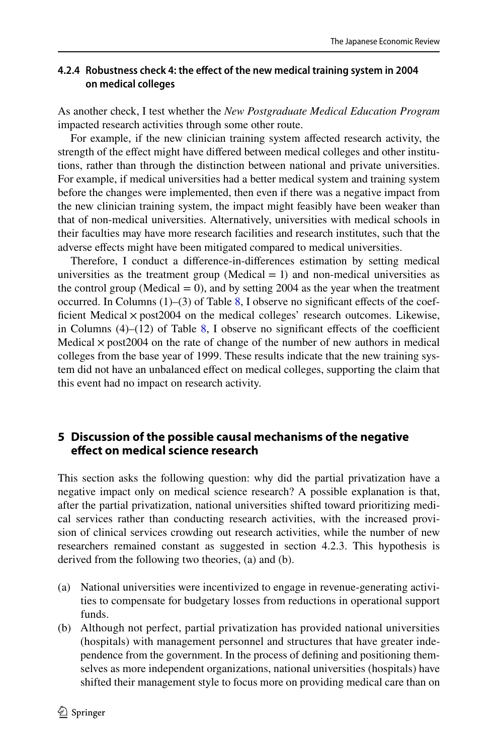# **4.2.4 Robustness check 4: the efect of the new medical training system in 2004 on medical colleges**

As another check, I test whether the *New Postgraduate Medical Education Program* impacted research activities through some other route.

For example, if the new clinician training system affected research activity, the strength of the efect might have difered between medical colleges and other institutions, rather than through the distinction between national and private universities. For example, if medical universities had a better medical system and training system before the changes were implemented, then even if there was a negative impact from the new clinician training system, the impact might feasibly have been weaker than that of non-medical universities. Alternatively, universities with medical schools in their faculties may have more research facilities and research institutes, such that the adverse efects might have been mitigated compared to medical universities.

Therefore, I conduct a diference-in-diferences estimation by setting medical universities as the treatment group (Medical  $= 1$ ) and non-medical universities as the control group (Medical  $= 0$ ), and by setting 2004 as the year when the treatment occurred. In Columns  $(1)$ – $(3)$  of Table [8](#page-23-0), I observe no significant effects of the coefficient Medical  $\times$  post2004 on the medical colleges' research outcomes. Likewise, in Columns  $(4)$ – $(12)$  of Table [8](#page-23-0), I observe no significant effects of the coefficient Medical  $\times$  post 2004 on the rate of change of the number of new authors in medical colleges from the base year of 1999. These results indicate that the new training system did not have an unbalanced efect on medical colleges, supporting the claim that this event had no impact on research activity.

# <span id="page-13-0"></span>**5 Discussion of the possible causal mechanisms of the negative efect on medical science research**

This section asks the following question: why did the partial privatization have a negative impact only on medical science research? A possible explanation is that, after the partial privatization, national universities shifted toward prioritizing medical services rather than conducting research activities, with the increased provision of clinical services crowding out research activities, while the number of new researchers remained constant as suggested in section 4.2.3. This hypothesis is derived from the following two theories, (a) and (b).

- (a) National universities were incentivized to engage in revenue-generating activities to compensate for budgetary losses from reductions in operational support funds.
- (b) Although not perfect, partial privatization has provided national universities (hospitals) with management personnel and structures that have greater independence from the government. In the process of defning and positioning themselves as more independent organizations, national universities (hospitals) have shifted their management style to focus more on providing medical care than on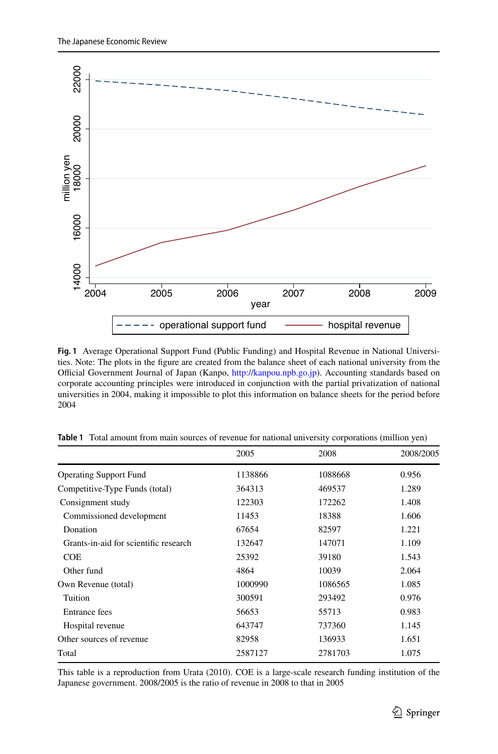

<span id="page-14-1"></span>**Fig. 1** Average Operational Support Fund (Public Funding) and Hospital Revenue in National Universities. Note: The plots in the fgure are created from the balance sheet of each national university from the Official Government Journal of Japan (Kanpo, [http://kanpou.npb.go.jp\)](http://kanpou.npb.go.jp). Accounting standards based on corporate accounting principles were introduced in conjunction with the partial privatization of national universities in 2004, making it impossible to plot this information on balance sheets for the period before 2004

|                                       | 2005    | 2008    | 2008/2005 |
|---------------------------------------|---------|---------|-----------|
| <b>Operating Support Fund</b>         | 1138866 | 1088668 | 0.956     |
| Competitive-Type Funds (total)        | 364313  | 469537  | 1.289     |
| Consignment study                     | 122303  | 172262  | 1.408     |
| Commissioned development              | 11453   | 18388   | 1.606     |
| Donation                              | 67654   | 82597   | 1.221     |
| Grants-in-aid for scientific research | 132647  | 147071  | 1.109     |
| <b>COE</b>                            | 25392   | 39180   | 1.543     |
| Other fund                            | 4864    | 10039   | 2.064     |
| Own Revenue (total)                   | 1000990 | 1086565 | 1.085     |
| Tuition                               | 300591  | 293492  | 0.976     |
| Entrance fees                         | 56653   | 55713   | 0.983     |
| Hospital revenue                      | 643747  | 737360  | 1.145     |
| Other sources of revenue              | 82958   | 136933  | 1.651     |
| Total                                 | 2587127 | 2781703 | 1.075     |

<span id="page-14-0"></span>**Table 1** Total amount from main sources of revenue for national university corporations (million yen)

This table is a reproduction from Urata (2010). COE is a large-scale research funding institution of the Japanese government. 2008/2005 is the ratio of revenue in 2008 to that in 2005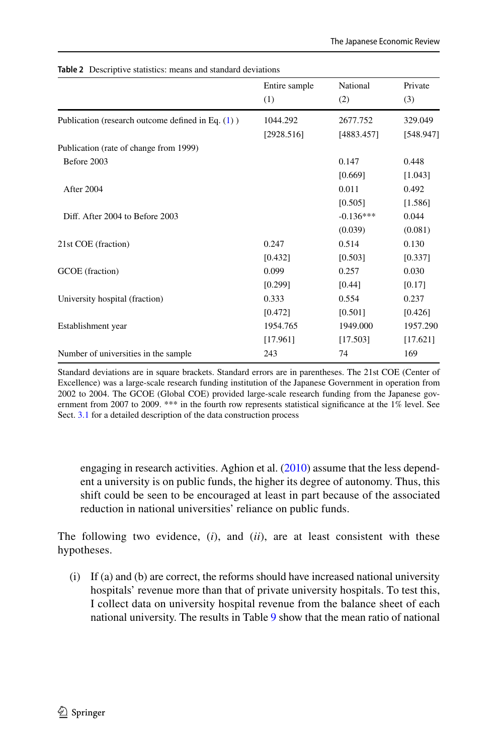| Entire sample<br>(1) | National<br>(2) | Private<br>(3) |
|----------------------|-----------------|----------------|
| 1044.292             | 2677.752        | 329.049        |
| [2928.516]           | [4883.457]      | [548.947]      |
|                      |                 |                |
|                      | 0.147           | 0.448          |
|                      | [0.669]         | [1.043]        |
|                      | 0.011           | 0.492          |
|                      | [0.505]         | [1.586]        |
|                      | $-0.136***$     | 0.044          |
|                      | (0.039)         | (0.081)        |
| 0.247                | 0.514           | 0.130          |
| [0.432]              | [0.503]         | [0.337]        |
| 0.099                | 0.257           | 0.030          |
| [0.299]              | [0.44]          | [0.17]         |
| 0.333                | 0.554           | 0.237          |
| [0.472]              | [0.501]         | [0.426]        |
| 1954.765             | 1949.000        | 1957.290       |
| [17.961]             | [17.503]        | [17.621]       |
| 243                  | 74              | 169            |
|                      |                 |                |

<span id="page-15-0"></span>**Table 2** Descriptive statistics: means and standard deviations

Standard deviations are in square brackets. Standard errors are in parentheses. The 21st COE (Center of Excellence) was a large-scale research funding institution of the Japanese Government in operation from 2002 to 2004. The GCOE (Global COE) provided large-scale research funding from the Japanese government from 2007 to 2009. \*\*\* in the fourth row represents statistical signifcance at the 1% level. See Sect. [3.1](#page-5-2) for a detailed description of the data construction process

engaging in research activities. Aghion et al. [\(2010\)](#page-26-3) assume that the less dependent a university is on public funds, the higher its degree of autonomy. Thus, this shift could be seen to be encouraged at least in part because of the associated reduction in national universities' reliance on public funds.

The following two evidence, (*i*), and (*ii*), are at least consistent with these hypotheses.

(i) If (a) and (b) are correct, the reforms should have increased national university hospitals' revenue more than that of private university hospitals. To test this, I collect data on university hospital revenue from the balance sheet of each national university. The results in Table [9](#page-24-0) show that the mean ratio of national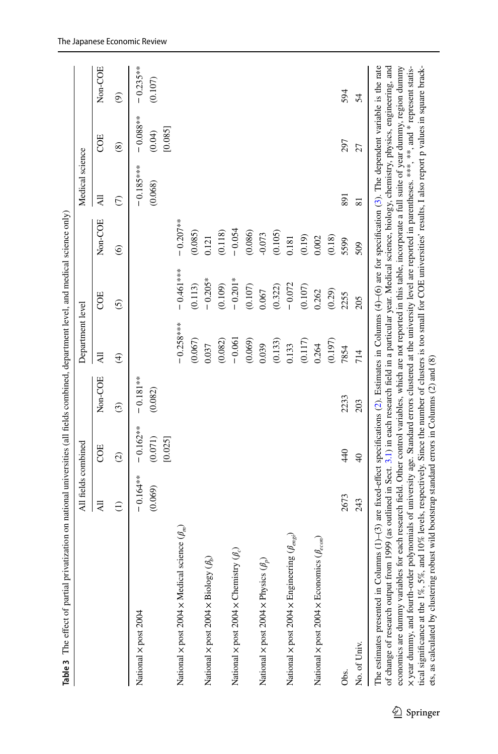<span id="page-16-0"></span>

|                                                                                                                                                                                                                                                                                                                                                                                                                                                                                                                                                                                | All fields combined   |                                  |                       | Department level |                                                                                                                                                                                                                                                                                                                                                                                                                                                  |                        | Medical science         |                                  |                        |
|--------------------------------------------------------------------------------------------------------------------------------------------------------------------------------------------------------------------------------------------------------------------------------------------------------------------------------------------------------------------------------------------------------------------------------------------------------------------------------------------------------------------------------------------------------------------------------|-----------------------|----------------------------------|-----------------------|------------------|--------------------------------------------------------------------------------------------------------------------------------------------------------------------------------------------------------------------------------------------------------------------------------------------------------------------------------------------------------------------------------------------------------------------------------------------------|------------------------|-------------------------|----------------------------------|------------------------|
|                                                                                                                                                                                                                                                                                                                                                                                                                                                                                                                                                                                | $\overline{AB}$       | COE                              | Non-COE               | $\overline{A}$   | COE                                                                                                                                                                                                                                                                                                                                                                                                                                              | Non-COE                | $\overline{\mathsf{A}}$ | COE                              | Non-COE                |
|                                                                                                                                                                                                                                                                                                                                                                                                                                                                                                                                                                                | Э                     | $\widehat{\mathcal{O}}$          | $\odot$               | $\bigoplus$      | $\odot$                                                                                                                                                                                                                                                                                                                                                                                                                                          | $\widehat{\mathbf{e}}$ | $\epsilon$              | $\circledast$                    | $\widehat{e}$          |
| National x post 2004                                                                                                                                                                                                                                                                                                                                                                                                                                                                                                                                                           | $-0.164**$<br>(0.069) | $-0.162**$<br>(0.071)<br>[0.025] | $-0.181**$<br>(0.082) |                  |                                                                                                                                                                                                                                                                                                                                                                                                                                                  |                        | $-0.185***$<br>(0.068)  | $-0.088***$<br>[0.085]<br>(0.04) | $-0.235***$<br>(0.107) |
| science $(\beta_m)$<br>National x post 2004 x Medical                                                                                                                                                                                                                                                                                                                                                                                                                                                                                                                          |                       |                                  |                       | $-0.258***$      | $-0.461***$                                                                                                                                                                                                                                                                                                                                                                                                                                      | $-0.207***$            |                         |                                  |                        |
|                                                                                                                                                                                                                                                                                                                                                                                                                                                                                                                                                                                |                       |                                  |                       | (0.067)          | (0.113)                                                                                                                                                                                                                                                                                                                                                                                                                                          | (0.085)                |                         |                                  |                        |
| $(\mathcal{E})$<br>National × post 2004 × Biology                                                                                                                                                                                                                                                                                                                                                                                                                                                                                                                              |                       |                                  |                       | 0.037            | $-0.205*$                                                                                                                                                                                                                                                                                                                                                                                                                                        | 0.121                  |                         |                                  |                        |
|                                                                                                                                                                                                                                                                                                                                                                                                                                                                                                                                                                                |                       |                                  |                       | (0.082)          | (0.109)                                                                                                                                                                                                                                                                                                                                                                                                                                          | (0.118)                |                         |                                  |                        |
| National $\times$ post 2004 $\times$ Chemistry ( $\beta_c$ )                                                                                                                                                                                                                                                                                                                                                                                                                                                                                                                   |                       |                                  |                       | $-0.061$         | $-0.201*$                                                                                                                                                                                                                                                                                                                                                                                                                                        | $-0.054$               |                         |                                  |                        |
|                                                                                                                                                                                                                                                                                                                                                                                                                                                                                                                                                                                |                       |                                  |                       | (0.069)          | (0.107)                                                                                                                                                                                                                                                                                                                                                                                                                                          | (0.086)                |                         |                                  |                        |
| National $\times$ post 2004 $\times$ Physics ( $\beta_p$ )                                                                                                                                                                                                                                                                                                                                                                                                                                                                                                                     |                       |                                  |                       | 0.039            | 0.067                                                                                                                                                                                                                                                                                                                                                                                                                                            | $-0.073$               |                         |                                  |                        |
|                                                                                                                                                                                                                                                                                                                                                                                                                                                                                                                                                                                |                       |                                  |                       | (0.133)          | (0.322)                                                                                                                                                                                                                                                                                                                                                                                                                                          | (0.105)                |                         |                                  |                        |
| National $\times$ post 2004 $\times$ Engineering $(\beta_{engi})$                                                                                                                                                                                                                                                                                                                                                                                                                                                                                                              |                       |                                  |                       | 0.133            | $-0.072$                                                                                                                                                                                                                                                                                                                                                                                                                                         | 0.181                  |                         |                                  |                        |
|                                                                                                                                                                                                                                                                                                                                                                                                                                                                                                                                                                                |                       |                                  |                       | (0.117)          | (0.107)                                                                                                                                                                                                                                                                                                                                                                                                                                          | (0.19)                 |                         |                                  |                        |
| National $\times$ post 2004 $\times$ Economics ( $\theta_{econ}$ )                                                                                                                                                                                                                                                                                                                                                                                                                                                                                                             |                       |                                  |                       | 0.264            | 0.262                                                                                                                                                                                                                                                                                                                                                                                                                                            | 0.002                  |                         |                                  |                        |
|                                                                                                                                                                                                                                                                                                                                                                                                                                                                                                                                                                                |                       |                                  |                       | (0.197)          | (0.29)                                                                                                                                                                                                                                                                                                                                                                                                                                           | (0.18)                 |                         |                                  |                        |
| Obs.                                                                                                                                                                                                                                                                                                                                                                                                                                                                                                                                                                           | 2673                  | 440                              | 2233                  | 7854             | 2255                                                                                                                                                                                                                                                                                                                                                                                                                                             | 5599                   | 891                     | 297                              | 594                    |
| No. of Univ.                                                                                                                                                                                                                                                                                                                                                                                                                                                                                                                                                                   | 243                   | $\overline{40}$                  | 203                   | 714              | 205                                                                                                                                                                                                                                                                                                                                                                                                                                              | 509                    | $\overline{8}$          | 27                               | 54                     |
| The estimates presented in Columns $(1)$ –(3) are fixed-effect specifications (2). Estimates in Columns $(4)$ –(6) are for specification (3). The dependent variable is the rate<br>of change of research output from 1999 (as outlined in Sect. 3.1) in each research field in a particular year. Medical science, biology, chemistry, physics, engineering, and<br>ets, as calculated by clustering robust wild bootstrap standard errors in Columns (2) and (8)<br>economics are dummy variables<br>X year dummy, and fourth-order<br>tical significance at the $1\%, 5\%,$ |                       |                                  |                       |                  | polynomials of university age. Standard errors clustered at the university level are reported in parentheses. ***, **, and * represent statis-<br>for each research field. Other control variables, which are not reported in this table, incorporate a full suite of year dummy, region dummy<br>and 10% levels, respectively. Since the number of clusters is too small for COE universities' results, I also report p values in square brack- |                        |                         |                                  |                        |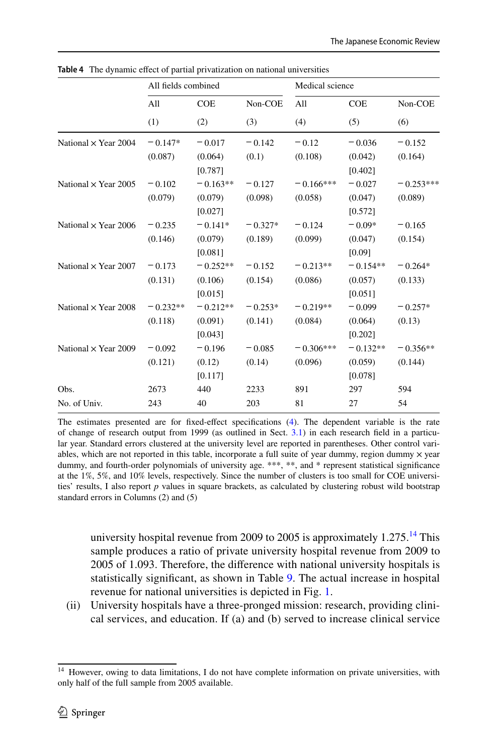|                             | All fields combined |            |           | Medical science |            |             |
|-----------------------------|---------------------|------------|-----------|-----------------|------------|-------------|
|                             | All                 | <b>COE</b> | Non-COE   | All             | <b>COE</b> | Non-COE     |
|                             | (1)                 | (2)        | (3)       | (4)             | (5)        | (6)         |
| National $\times$ Year 2004 | $-0.147*$           | $-0.017$   | $-0.142$  | $-0.12$         | $-0.036$   | $-0.152$    |
|                             | (0.087)             | (0.064)    | (0.1)     | (0.108)         | (0.042)    | (0.164)     |
|                             |                     | [0.787]    |           |                 | [0.402]    |             |
| National $\times$ Year 2005 | $-0.102$            | $-0.163**$ | $-0.127$  | $-0.166***$     | $-0.027$   | $-0.253***$ |
|                             | (0.079)             | (0.079)    | (0.098)   | (0.058)         | (0.047)    | (0.089)     |
|                             |                     | [0.027]    |           |                 | [0.572]    |             |
| National $\times$ Year 2006 | $-0.235$            | $-0.141*$  | $-0.327*$ | $-0.124$        | $-0.09*$   | $-0.165$    |
|                             | (0.146)             | (0.079)    | (0.189)   | (0.099)         | (0.047)    | (0.154)     |
|                             |                     | [0.081]    |           |                 | [0.09]     |             |
| National $\times$ Year 2007 | $-0.173$            | $-0.252**$ | $-0.152$  | $-0.213**$      | $-0.154**$ | $-0.264*$   |
|                             | (0.131)             | (0.106)    | (0.154)   | (0.086)         | (0.057)    | (0.133)     |
|                             |                     | [0.015]    |           |                 | [0.051]    |             |
| National $\times$ Year 2008 | $-0.232**$          | $-0.212**$ | $-0.253*$ | $-0.219**$      | $-0.099$   | $-0.257*$   |
|                             | (0.118)             | (0.091)    | (0.141)   | (0.084)         | (0.064)    | (0.13)      |
|                             |                     | [0.043]    |           |                 | [0.202]    |             |
| National $\times$ Year 2009 | $-0.092$            | $-0.196$   | $-0.085$  | $-0.306***$     | $-0.132**$ | $-0.356**$  |
|                             | (0.121)             | (0.12)     | (0.14)    | (0.096)         | (0.059)    | (0.144)     |
|                             |                     | [0.117]    |           |                 | [0.078]    |             |
| Obs.                        | 2673                | 440        | 2233      | 891             | 297        | 594         |
| No. of Univ.                | 243                 | 40         | 203       | 81              | 27         | 54          |

<span id="page-17-0"></span>**Table 4** The dynamic effect of partial privatization on national universities

The estimates presented are for fxed-efect specifcations [\(4](#page-9-1)). The dependent variable is the rate of change of research output from 1999 (as outlined in Sect. [3.1](#page-5-2)) in each research feld in a particular year. Standard errors clustered at the university level are reported in parentheses. Other control variables, which are not reported in this table, incorporate a full suite of year dummy, region dummy  $\times$  year dummy, and fourth-order polynomials of university age. \*\*\*, \*\*, and \* represent statistical significance at the 1%, 5%, and 10% levels, respectively. Since the number of clusters is too small for COE universities' results, I also report *p* values in square brackets, as calculated by clustering robust wild bootstrap standard errors in Columns (2) and (5)

university hospital revenue from 2009 to 2005 is approximately  $1.275$ .<sup>[14](#page-17-1)</sup> This sample produces a ratio of private university hospital revenue from 2009 to 2005 of 1.093. Therefore, the diference with national university hospitals is statistically signifcant, as shown in Table [9](#page-24-0). The actual increase in hospital revenue for national universities is depicted in Fig. [1.](#page-14-1)

(ii) University hospitals have a three-pronged mission: research, providing clinical services, and education. If (a) and (b) served to increase clinical service

<span id="page-17-1"></span><sup>&</sup>lt;sup>14</sup> However, owing to data limitations, I do not have complete information on private universities, with only half of the full sample from 2005 available.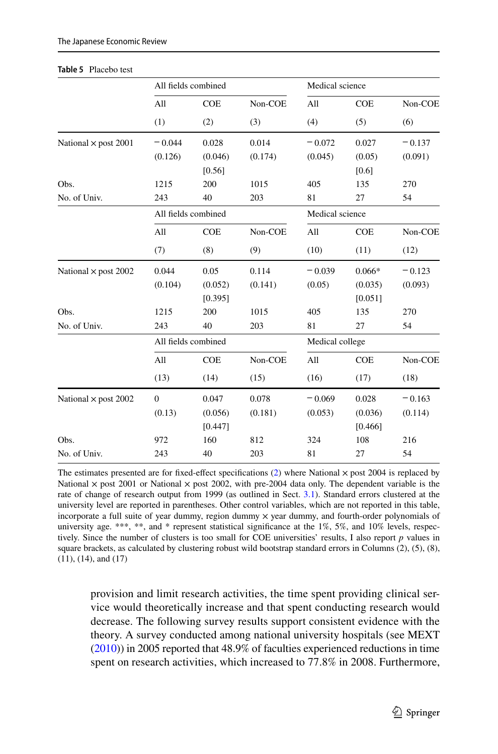#### <span id="page-18-0"></span>**Table 5** Placebo test

|                             | All fields combined |            |         | Medical science |            |          |
|-----------------------------|---------------------|------------|---------|-----------------|------------|----------|
|                             | All                 | <b>COE</b> | Non-COE | All             | <b>COE</b> | Non-COE  |
|                             | (1)                 | (2)        | (3)     | (4)             | (5)        | (6)      |
| National $\times$ post 2001 | $-0.044$            | 0.028      | 0.014   | $-0.072$        | 0.027      | $-0.137$ |
|                             | (0.126)             | (0.046)    | (0.174) | (0.045)         | (0.05)     | (0.091)  |
|                             |                     | [0.56]     |         |                 | [0.6]      |          |
| Obs.                        | 1215                | 200        | 1015    | 405             | 135        | 270      |
| No. of Univ.                | 243                 | 40         | 203     | 81              | 27         | 54       |
|                             | All fields combined |            |         | Medical science |            |          |
|                             | All                 | <b>COE</b> | Non-COE | All             | <b>COE</b> | Non-COE  |
|                             | (7)                 | (8)        | (9)     | (10)            | (11)       | (12)     |
| National $\times$ post 2002 | 0.044               | 0.05       | 0.114   | $-0.039$        | $0.066*$   | $-0.123$ |
|                             | (0.104)             | (0.052)    | (0.141) | (0.05)          | (0.035)    | (0.093)  |
|                             |                     | [0.395]    |         |                 | [0.051]    |          |
| Obs.                        | 1215                | 200        | 1015    | 405             | 135        | 270      |
| No. of Univ.                | 243                 | 40         | 203     | 81              | 27         | 54       |
|                             | All fields combined |            |         | Medical college |            |          |
|                             | All                 | <b>COE</b> | Non-COE | All             | <b>COE</b> | Non-COE  |
|                             | (13)                | (14)       | (15)    | (16)            | (17)       | (18)     |
| National $\times$ post 2002 | $\mathbf{0}$        | 0.047      | 0.078   | $-0.069$        | 0.028      | $-0.163$ |
|                             | (0.13)              | (0.056)    | (0.181) | (0.053)         | (0.036)    | (0.114)  |
|                             |                     | [0.447]    |         |                 | [0.466]    |          |
| Obs.                        | 972                 | 160        | 812     | 324             | 108        | 216      |
| No. of Univ.                | 243                 | 40         | 203     | 81              | 27         | 54       |

The estimates presented are for fixed-effect specifications  $(2)$  $(2)$  where National  $\times$  post 2004 is replaced by National  $\times$  post 2001 or National  $\times$  post 2002, with pre-2004 data only. The dependent variable is the rate of change of research output from 1999 (as outlined in Sect. [3.1](#page-5-2)). Standard errors clustered at the university level are reported in parentheses. Other control variables, which are not reported in this table, incorporate a full suite of year dummy, region dummy  $\times$  year dummy, and fourth-order polynomials of university age. \*\*\*, \*\*, and \* represent statistical significance at the  $1\%$ ,  $5\%$ , and  $10\%$  levels, respectively. Since the number of clusters is too small for COE universities' results, I also report *p* values in square brackets, as calculated by clustering robust wild bootstrap standard errors in Columns (2), (5), (8), (11), (14), and (17)

provision and limit research activities, the time spent providing clinical service would theoretically increase and that spent conducting research would decrease. The following survey results support consistent evidence with the theory. A survey conducted among national university hospitals (see MEXT [\(2010](#page-26-12))) in 2005 reported that 48.9% of faculties experienced reductions in time spent on research activities, which increased to 77.8% in 2008. Furthermore,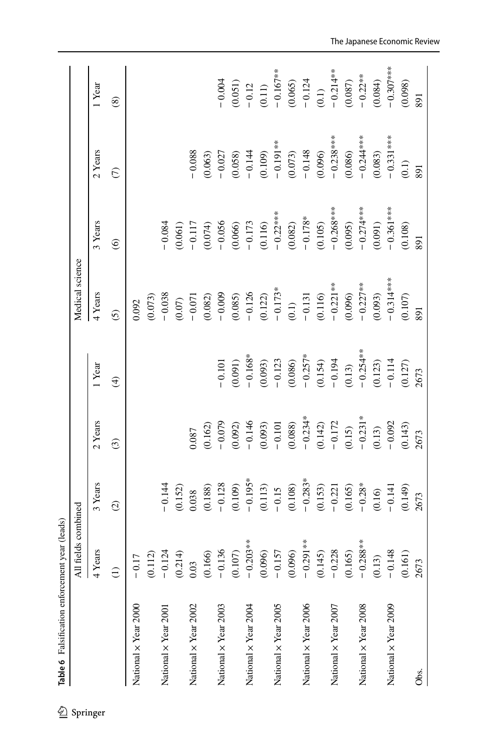<span id="page-19-0"></span>

|                      | fields combined<br>₹        |                      |                                                 |                                                                                                                                             | Medical science      |                        |                     |                                                                          |
|----------------------|-----------------------------|----------------------|-------------------------------------------------|---------------------------------------------------------------------------------------------------------------------------------------------|----------------------|------------------------|---------------------|--------------------------------------------------------------------------|
|                      | ears<br>$\frac{\lambda}{4}$ | 3 Years              | 2 Years                                         | 1 Year                                                                                                                                      | 4 Years              | 3 Years                | 2 Years             | 1 Year                                                                   |
|                      | $\widehat{\Xi}$             | $\widehat{C}$        | $\odot$                                         | $\bigoplus$                                                                                                                                 | $\overline{6}$       | $\odot$                | $\widehat{C}$       | $\circledast$                                                            |
| National x Year 2000 | $-0.17$                     |                      |                                                 |                                                                                                                                             | 0.092                |                        |                     |                                                                          |
|                      | (0.112)                     |                      |                                                 |                                                                                                                                             | (0.073)              |                        |                     |                                                                          |
| National x Year 2001 |                             | $-0.144$             |                                                 |                                                                                                                                             | $-0.038$             | $-0.084$               |                     |                                                                          |
|                      | $-0.124$<br>(0.214)         | (0.152)              |                                                 |                                                                                                                                             | (0.07)               | 0.061)                 |                     |                                                                          |
| National x Year 2002 | 0.03                        | 0.038                | 180.0                                           |                                                                                                                                             | $-0.071$             | $-0.117$               | 0.088               |                                                                          |
|                      | (0.166)                     | (0.188)              | (0.162)                                         |                                                                                                                                             | (0.082)              | $(0.074)$<br>- 0.056   | 0.063)              |                                                                          |
| National x Year 2003 | $-0.136$                    | $-0.128$             | $-0.079$                                        | $-0.101$                                                                                                                                    | $-0.009$             |                        | $-0.027$            | $-0.004$                                                                 |
|                      | $(0.107)$                   | (0.109)              | (0.092)                                         | (0.091)                                                                                                                                     | (0.085)              | (0.066)                | 0.058)              | (0.051)                                                                  |
| National x Year 2004 | $-0.203**$                  | $-0.195*$            |                                                 | $-0.168*$                                                                                                                                   | $-0.126$             | $-0.173$               | $-0.144$            | $-0.12$                                                                  |
|                      | (0.096)                     | (0.113)              | $-0.146$<br>(0.093)<br>- 0.101                  |                                                                                                                                             | $(0.122)$<br>-0.173* | $(0.116)$<br>- 0.22*** | (0.109)             | (0.11)<br>$-0.167**$<br>$-0.065$ )<br>$-0.124$<br>$-0.124$<br>$-0.214**$ |
| National x Year 2005 | $-0.157$                    | $-0.15$              |                                                 |                                                                                                                                             |                      |                        | $-0.191**$          |                                                                          |
|                      | (0.096)                     | $(0.108)$<br>-0.283* | $(0.088)$<br>-0.234*                            |                                                                                                                                             | (0.1)                | (0.082)                | $(0.073)$<br>-0.148 |                                                                          |
| National x Year 2006 | $-0.291**$                  |                      |                                                 |                                                                                                                                             | $-0.131$             | $-0.178*$              |                     |                                                                          |
|                      | (0.145)                     | (0.153)              | (0.142)                                         |                                                                                                                                             | (0.116)              | (0.105)                | (0.096)             |                                                                          |
| National x Year 2007 | 0.228<br>$\overline{0}$     | $-0.221$             | $-0.172$                                        |                                                                                                                                             | $-0.221**$           | $-0.268***$            | $-0.238***$         |                                                                          |
|                      | (0.165)                     |                      | $(0.15)$<br>$- 0.231*$<br>$(0.13)$<br>$- 0.092$ | (0.093)<br>$-0.123$<br>(0.086)<br>$-0.257$ <sup>*</sup><br>$-0.154$<br>(0.154)<br>$-0.194$<br>$-0.254$ <sup>**</sup><br>(0.123)<br>$-0.254$ | (0.096)              | (0.095)                | (0.086)             | $(0.087)$<br>-0.22**                                                     |
| National x Year 2008 | $-0.288***$                 | $(0.165)$<br>-0.28*  |                                                 |                                                                                                                                             | $-0.227***$          | $-0.274***$            | $-0.244***$         |                                                                          |
|                      | (0.13)                      | (0.16)               |                                                 |                                                                                                                                             | (0.093)              | (0.091)                | (0.083)             | (0.084)                                                                  |
| National x Year 2009 | $-0.148$                    | $-0.141$             |                                                 |                                                                                                                                             | $-0.314***$          | $-0.361***$            | $-0.331***$         | $-0.307***$                                                              |
|                      | (0.161)                     | (0.149)              | (0.143)                                         | (0.127)                                                                                                                                     | $(0.107)$            | (0.108)                | (0.1)               | (0.098)                                                                  |
| Obs.                 | 2673                        | 2673                 | 2673                                            | 2673                                                                                                                                        | 891                  | 891                    | 891                 | 891                                                                      |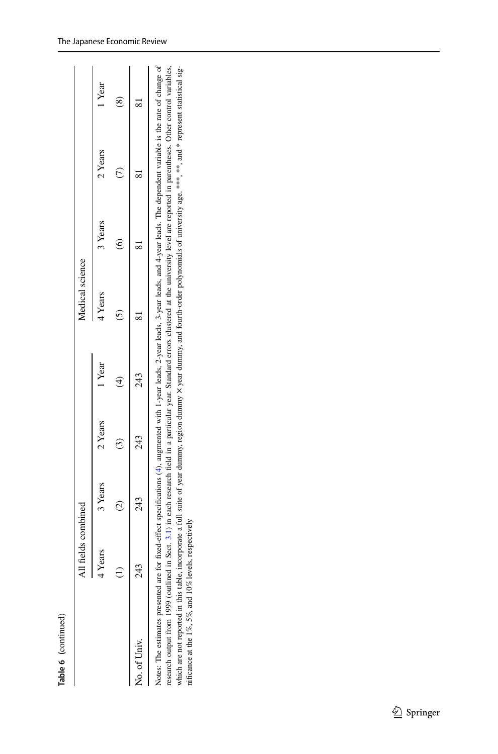**Table 6(**continued)

|                                                                                                                                                                                                                                                                                                                                             | 11 fields combined<br>⋖ |                        |               |        | Medical science |               |                                                                                                                                                                                                                                                                                                                                                        |        |
|---------------------------------------------------------------------------------------------------------------------------------------------------------------------------------------------------------------------------------------------------------------------------------------------------------------------------------------------|-------------------------|------------------------|---------------|--------|-----------------|---------------|--------------------------------------------------------------------------------------------------------------------------------------------------------------------------------------------------------------------------------------------------------------------------------------------------------------------------------------------------------|--------|
|                                                                                                                                                                                                                                                                                                                                             | Years                   | 3 Years                | 2 Years       | 1 Year | 4 Years         | 3 Years       | 2 Years                                                                                                                                                                                                                                                                                                                                                | 1 Year |
|                                                                                                                                                                                                                                                                                                                                             |                         | $\widehat{\mathbb{C}}$ | $\widehat{c}$ |        |                 | $\hat{\circ}$ |                                                                                                                                                                                                                                                                                                                                                        | ≋      |
| No. of Univ.                                                                                                                                                                                                                                                                                                                                | $\mathcal{A}$           | 243                    | 243           | 243    |                 |               |                                                                                                                                                                                                                                                                                                                                                        |        |
| Notes: The estimates presented are for fixed-effect specifications (4), augmented with 1-year leads, 2-year leads, 3-year leads, and 4-year leads. The dependent variable is the rate of change of<br>nificance at the 1%, 5%, and 10% levels, respectively<br>research output from 1999 (outlined<br>which are not reported in this table, |                         |                        |               |        |                 |               | incorporate a full suite of year dummy, region dummy X year dummy, and fourth-order polynomials of university age. <sup>****</sup> , and <sup>*</sup> represent statistical sig-<br>in Sect. 3.1) in each research field in a particular year. Standard errors clustered at the university level are reported in parentheses. Other control variables, |        |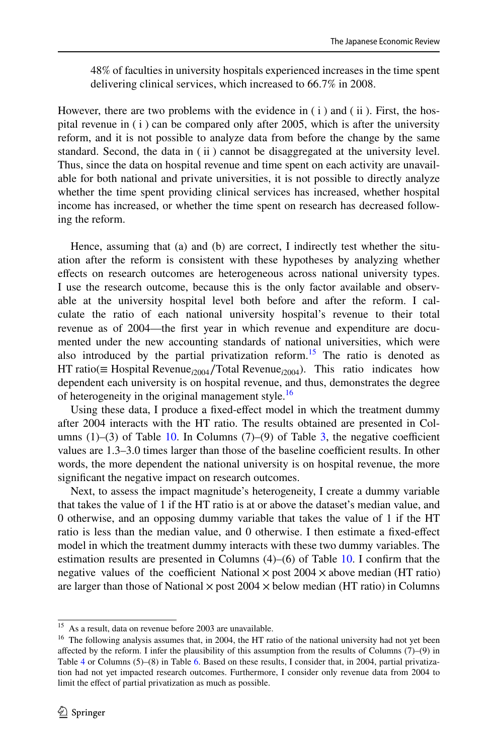48% of faculties in university hospitals experienced increases in the time spent delivering clinical services, which increased to 66.7% in 2008.

However, there are two problems with the evidence in (i) and (ii). First, the hospital revenue in (i) can be compared only after 2005, which is after the university reform, and it is not possible to analyze data from before the change by the same standard. Second, the data in ( ii ) cannot be disaggregated at the university level. Thus, since the data on hospital revenue and time spent on each activity are unavailable for both national and private universities, it is not possible to directly analyze whether the time spent providing clinical services has increased, whether hospital income has increased, or whether the time spent on research has decreased following the reform.

Hence, assuming that (a) and (b) are correct, I indirectly test whether the situation after the reform is consistent with these hypotheses by analyzing whether efects on research outcomes are heterogeneous across national university types. I use the research outcome, because this is the only factor available and observable at the university hospital level both before and after the reform. I calculate the ratio of each national university hospital's revenue to their total revenue as of 2004—the frst year in which revenue and expenditure are documented under the new accounting standards of national universities, which were also introduced by the partial privatization reform.<sup>[15](#page-21-0)</sup> The ratio is denoted as HT ratio(≡ Hospital Revenue*<sup>i</sup>*2004∕Total Revenue*<sup>i</sup>*2004). This ratio indicates how dependent each university is on hospital revenue, and thus, demonstrates the degree of heterogeneity in the original management style.<sup>[16](#page-21-1)</sup>

Using these data, I produce a fxed-efect model in which the treatment dummy after 2004 interacts with the HT ratio. The results obtained are presented in Columns  $(1)$ – $(3)$  of Table [10.](#page-25-0) In Columns  $(7)$ – $(9)$  of Table [3,](#page-16-0) the negative coefficient values are 1.3–3.0 times larger than those of the baseline coefficient results. In other words, the more dependent the national university is on hospital revenue, the more signifcant the negative impact on research outcomes.

Next, to assess the impact magnitude's heterogeneity, I create a dummy variable that takes the value of 1 if the HT ratio is at or above the dataset's median value, and 0 otherwise, and an opposing dummy variable that takes the value of 1 if the HT ratio is less than the median value, and 0 otherwise. I then estimate a fxed-efect model in which the treatment dummy interacts with these two dummy variables. The estimation results are presented in Columns  $(4)$ – $(6)$  of Table [10.](#page-25-0) I confirm that the negative values of the coefficient National  $\times$  post 2004  $\times$  above median (HT ratio) are larger than those of National  $\times$  post 2004  $\times$  below median (HT ratio) in Columns

<span id="page-21-0"></span><sup>&</sup>lt;sup>15</sup> As a result, data on revenue before 2003 are unavailable.

<span id="page-21-1"></span><sup>&</sup>lt;sup>16</sup> The following analysis assumes that, in 2004, the HT ratio of the national university had not yet been afected by the reform. I infer the plausibility of this assumption from the results of Columns (7)–(9) in Table [4](#page-17-0) or Columns (5)–(8) in Table [6](#page-19-0). Based on these results, I consider that, in 2004, partial privatization had not yet impacted research outcomes. Furthermore, I consider only revenue data from 2004 to limit the efect of partial privatization as much as possible.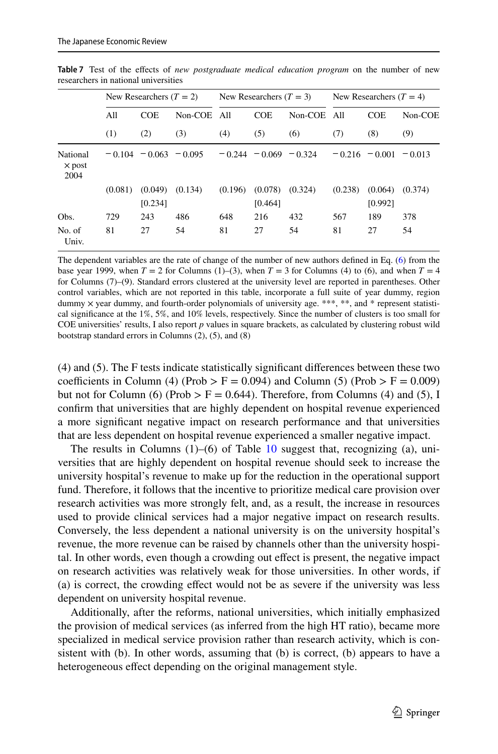|                                   |         | New Researchers $(T = 2)$ |             |         | New Researchers $(T = 3)$ |           |         | New Researchers $(T = 4)$ |         |
|-----------------------------------|---------|---------------------------|-------------|---------|---------------------------|-----------|---------|---------------------------|---------|
|                                   | All     | <b>COE</b>                | Non-COE All |         | <b>COE</b>                | $Non-COE$ | A11     | <b>COE</b>                | Non-COE |
|                                   | (1)     | (2)                       | (3)         | (4)     | (5)                       | (6)       | (7)     | (8)                       | (9)     |
| National<br>$\times$ post<br>2004 |         | $-0.104 - 0.063 - 0.095$  |             |         | $-0.244 - 0.069 - 0.324$  |           |         | $-0.216 - 0.001 - 0.013$  |         |
|                                   | (0.081) | (0.049)<br>[0.234]        | (0.134)     | (0.196) | (0.078)<br>[0.464]        | (0.324)   | (0.238) | (0.064)<br>[0.992]        | (0.374) |
| Obs.                              | 729     | 243                       | 486         | 648     | 216                       | 432       | 567     | 189                       | 378     |
| No. of<br>Univ.                   | 81      | 27                        | 54          | 81      | 27                        | 54        | 81      | 27                        | 54      |

<span id="page-22-0"></span>**Table 7** Test of the efects of *new postgraduate medical education program* on the number of new researchers in national universities

The dependent variables are the rate of change of the number of new authors defned in Eq. ([6\)](#page-12-0) from the base year 1999, when  $T = 2$  for Columns (1)–(3), when  $T = 3$  for Columns (4) to (6), and when  $T = 4$ for Columns (7)–(9). Standard errors clustered at the university level are reported in parentheses. Other control variables, which are not reported in this table, incorporate a full suite of year dummy, region dummy  $\times$  year dummy, and fourth-order polynomials of university age. \*\*\*, \*\*, and \* represent statistical signifcance at the 1%, 5%, and 10% levels, respectively. Since the number of clusters is too small for COE universities' results, I also report *p* values in square brackets, as calculated by clustering robust wild bootstrap standard errors in Columns (2), (5), and (8)

(4) and (5). The F tests indicate statistically signifcant diferences between these two coefficients in Column (4) (Prob  $>$  F = 0.094) and Column (5) (Prob  $>$  F = 0.009) but not for Column (6) (Prob  $>$  F = 0.644). Therefore, from Columns (4) and (5), I confrm that universities that are highly dependent on hospital revenue experienced a more signifcant negative impact on research performance and that universities that are less dependent on hospital revenue experienced a smaller negative impact.

The results in Columns  $(1)$ – $(6)$  of Table [10](#page-25-0) suggest that, recognizing (a), universities that are highly dependent on hospital revenue should seek to increase the university hospital's revenue to make up for the reduction in the operational support fund. Therefore, it follows that the incentive to prioritize medical care provision over research activities was more strongly felt, and, as a result, the increase in resources used to provide clinical services had a major negative impact on research results. Conversely, the less dependent a national university is on the university hospital's revenue, the more revenue can be raised by channels other than the university hospital. In other words, even though a crowding out efect is present, the negative impact on research activities was relatively weak for those universities. In other words, if (a) is correct, the crowding efect would not be as severe if the university was less dependent on university hospital revenue.

Additionally, after the reforms, national universities, which initially emphasized the provision of medical services (as inferred from the high HT ratio), became more specialized in medical service provision rather than research activity, which is consistent with (b). In other words, assuming that (b) is correct, (b) appears to have a heterogeneous effect depending on the original management style.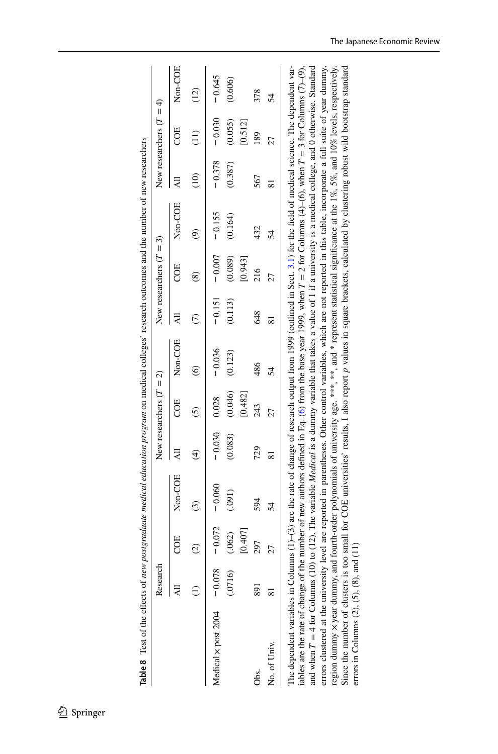<span id="page-23-0"></span>

| Table 8 Test of the effects of new postgraduate medical education program on medical colleges' research outcomes and the number of new researchers                                                                                                                                                                                                                                                                                                                                                                                                                                                                                                                                                                                                                                                                                                                                                                                                                                                      |          |               |                                                                                                                                             |                         |                           |                        |          |                           |          |                 |                           |                              |
|---------------------------------------------------------------------------------------------------------------------------------------------------------------------------------------------------------------------------------------------------------------------------------------------------------------------------------------------------------------------------------------------------------------------------------------------------------------------------------------------------------------------------------------------------------------------------------------------------------------------------------------------------------------------------------------------------------------------------------------------------------------------------------------------------------------------------------------------------------------------------------------------------------------------------------------------------------------------------------------------------------|----------|---------------|---------------------------------------------------------------------------------------------------------------------------------------------|-------------------------|---------------------------|------------------------|----------|---------------------------|----------|-----------------|---------------------------|------------------------------|
|                                                                                                                                                                                                                                                                                                                                                                                                                                                                                                                                                                                                                                                                                                                                                                                                                                                                                                                                                                                                         | Research |               |                                                                                                                                             |                         | New researchers $(T = 2)$ |                        |          | New researchers $(T = 3)$ |          |                 | New researchers $(T = 4)$ |                              |
|                                                                                                                                                                                                                                                                                                                                                                                                                                                                                                                                                                                                                                                                                                                                                                                                                                                                                                                                                                                                         |          | COE           | Non-COE                                                                                                                                     | ₹                       | COE                       | Non-COE                |          | COE                       | Non-COE  |                 | COE                       | Non-COE                      |
|                                                                                                                                                                                                                                                                                                                                                                                                                                                                                                                                                                                                                                                                                                                                                                                                                                                                                                                                                                                                         |          | $\widehat{c}$ | $\widehat{c}$                                                                                                                               | $\widehat{\mathcal{F}}$ | 6                         | $\widehat{\mathbf{e}}$ |          | ඔ                         | ම්       | $\widehat{\Xi}$ | (II)                      | $\left( \frac{1}{2} \right)$ |
| Medical x post 2004                                                                                                                                                                                                                                                                                                                                                                                                                                                                                                                                                                                                                                                                                                                                                                                                                                                                                                                                                                                     | $-0.078$ | $-0.072$      | $-0.060$                                                                                                                                    | $-0.030$                | 0.028                     | $-0.036$               | $-0.151$ | $-0.007$                  | $-0.155$ | $-0.378$        | $-0.030$                  | $-0.645$                     |
|                                                                                                                                                                                                                                                                                                                                                                                                                                                                                                                                                                                                                                                                                                                                                                                                                                                                                                                                                                                                         | (01716)  | (.062)        | (.091)                                                                                                                                      | (0.083)                 | (0.046)                   | (0.123)                | (0.113)  | (0.089)                   | (0.164)  | (0.387)         | (0.055)                   | (0.606)                      |
|                                                                                                                                                                                                                                                                                                                                                                                                                                                                                                                                                                                                                                                                                                                                                                                                                                                                                                                                                                                                         |          | [0.407]       |                                                                                                                                             |                         | [0.482]                   |                        |          | [0.943]                   |          |                 | [0.512]                   |                              |
| Obs.                                                                                                                                                                                                                                                                                                                                                                                                                                                                                                                                                                                                                                                                                                                                                                                                                                                                                                                                                                                                    | 891      | 297           | 594                                                                                                                                         | 729                     | 243                       | 486                    | 648      | 216                       | 432      | 567             | 189                       | 378                          |
| No. of Univ.                                                                                                                                                                                                                                                                                                                                                                                                                                                                                                                                                                                                                                                                                                                                                                                                                                                                                                                                                                                            |          | 27            | 54                                                                                                                                          | $\overline{\infty}$     | 27                        | 54                     | ವ        | 27                        | 54       | ವ               | 27                        | 54                           |
| errors clustered at the university level are reported in parentheses. Other control variables, which are not reported in this table, incorporate a full suite of year dummy,<br>and when $T = 4$ for Columns (10) to (12). The variable <i>Medical</i> is a dummy variable that takes a value of 1 if a university is a medical college, and 0 otherwise. Standard<br>The dependent variables in Columns (1)–(3) are the rate of change of research output from 1999 (outlined in Sect. 3.1) for the field of medical science. The dependent var-<br>region dummy x year dummy, and fourth-order polynomials of university age. ***, ***, and * represent statistical significance at the 1%, 5%, and 10% levels, respectively.<br>ables are the rate of change of the number of new authors defined in Eq. (6) from the base year 1999, when $T = 2$ for Columns (4)–(6), when $T = 3$ for Columns (7)–(9),<br>errors in Columns $(2)$ , $(5)$ , $(8)$ , and $(11)$<br>Since the number of clusters is |          |               | too small for COE universities' results, I also report p values in square brackets, calculated by clustering robust wild bootstrap standard |                         |                           |                        |          |                           |          |                 |                           |                              |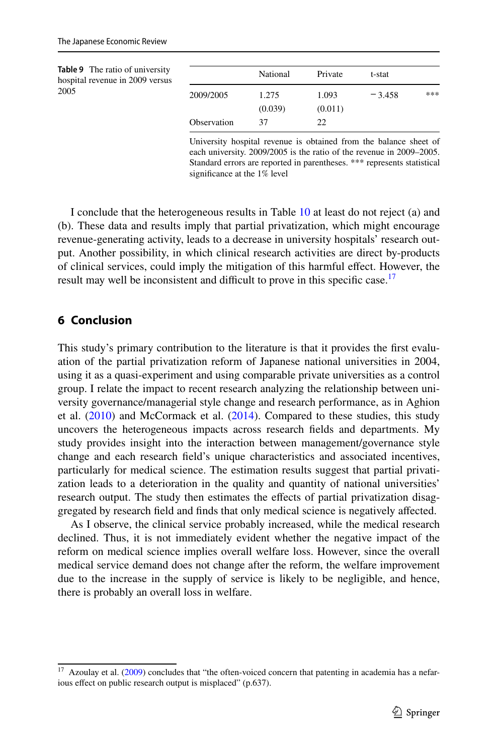<span id="page-24-0"></span>

| <b>Table 9</b> The ratio of university<br>hospital revenue in 2009 versus |             | National | Private | t-stat   |     |
|---------------------------------------------------------------------------|-------------|----------|---------|----------|-----|
| 2005                                                                      | 2009/2005   | 1.275    | 1.093   | $-3.458$ | *** |
|                                                                           |             | (0.039)  | (0.011) |          |     |
|                                                                           | Observation | 37       | 22      |          |     |

University hospital revenue is obtained from the balance sheet of each university. 2009/2005 is the ratio of the revenue in 2009–2005. Standard errors are reported in parentheses. \*\*\* represents statistical signifcance at the 1% level

I conclude that the heterogeneous results in Table [10](#page-25-0) at least do not reject (a) and (b). These data and results imply that partial privatization, which might encourage revenue-generating activity, leads to a decrease in university hospitals' research output. Another possibility, in which clinical research activities are direct by-products of clinical services, could imply the mitigation of this harmful efect. However, the result may well be inconsistent and difficult to prove in this specific case.<sup>17</sup>

# **6 Conclusion**

This study's primary contribution to the literature is that it provides the frst evaluation of the partial privatization reform of Japanese national universities in 2004, using it as a quasi-experiment and using comparable private universities as a control group. I relate the impact to recent research analyzing the relationship between university governance/managerial style change and research performance, as in Aghion et al. [\(2010](#page-26-3)) and McCormack et al. [\(2014](#page-26-4)). Compared to these studies, this study uncovers the heterogeneous impacts across research felds and departments. My study provides insight into the interaction between management/governance style change and each research feld's unique characteristics and associated incentives, particularly for medical science. The estimation results suggest that partial privatization leads to a deterioration in the quality and quantity of national universities' research output. The study then estimates the effects of partial privatization disaggregated by research feld and fnds that only medical science is negatively afected.

As I observe, the clinical service probably increased, while the medical research declined. Thus, it is not immediately evident whether the negative impact of the reform on medical science implies overall welfare loss. However, since the overall medical service demand does not change after the reform, the welfare improvement due to the increase in the supply of service is likely to be negligible, and hence, there is probably an overall loss in welfare.

<span id="page-24-1"></span> $17$  Azoulay et al. ([2009\)](#page-26-13) concludes that "the often-voiced concern that patenting in academia has a nefarious effect on public research output is misplaced" (p.637).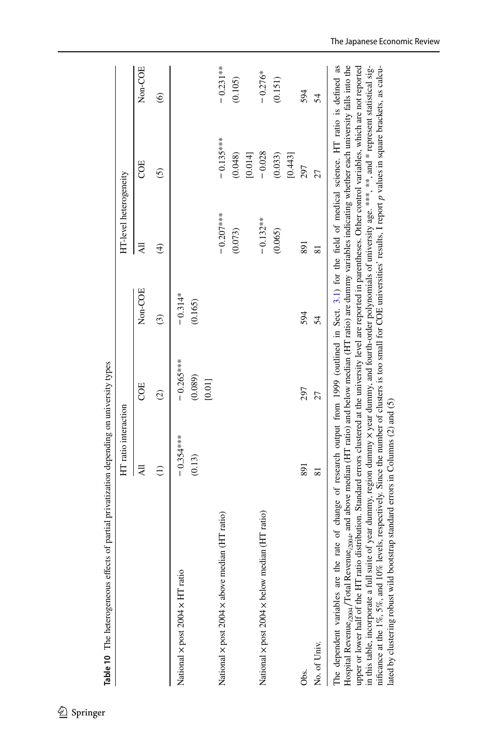<span id="page-25-0"></span>

|                                                | HT ratio interaction |                   |           | HT-level heterogeneity   |               |            |
|------------------------------------------------|----------------------|-------------------|-----------|--------------------------|---------------|------------|
|                                                | Ę                    | COE               | Non-COE   | 굯                        | COE           | Non-COE    |
|                                                | $\widehat{c}$        | $\widehat{c}$     | $\odot$   | $\widehat{\mathfrak{t}}$ | $\widehat{c}$ | $\odot$    |
| National × post 2004 × HT ratio                | $-0.354***$          | $-0.265***$       | $-0.314*$ |                          |               |            |
|                                                | (0.13)               | (0.089)<br>[0.01] | (0.165)   |                          |               |            |
| National x post 2004 x above median (HT ratio) |                      |                   |           | $-0.207***$              | $-0.135***$   | $-0.231**$ |
|                                                |                      |                   |           | (0.073)                  | (0.048)       | (0.105)    |
|                                                |                      |                   |           |                          | [0.014]       |            |
| National x post 2004 x below median (HT ratio) |                      |                   |           | $-0.132**$               | $-0.028$      | $-0.276*$  |
|                                                |                      |                   |           | (0.065)                  | (0.033)       | (0.151)    |
|                                                |                      |                   |           |                          | [0.443]       |            |
| Obs.                                           | 891                  | 297               | 594       | 891                      | 297           | 594        |
| No. of Univ.                                   | $\overline{81}$      | 27                | 54        | $\overline{81}$          | 27            | 54         |